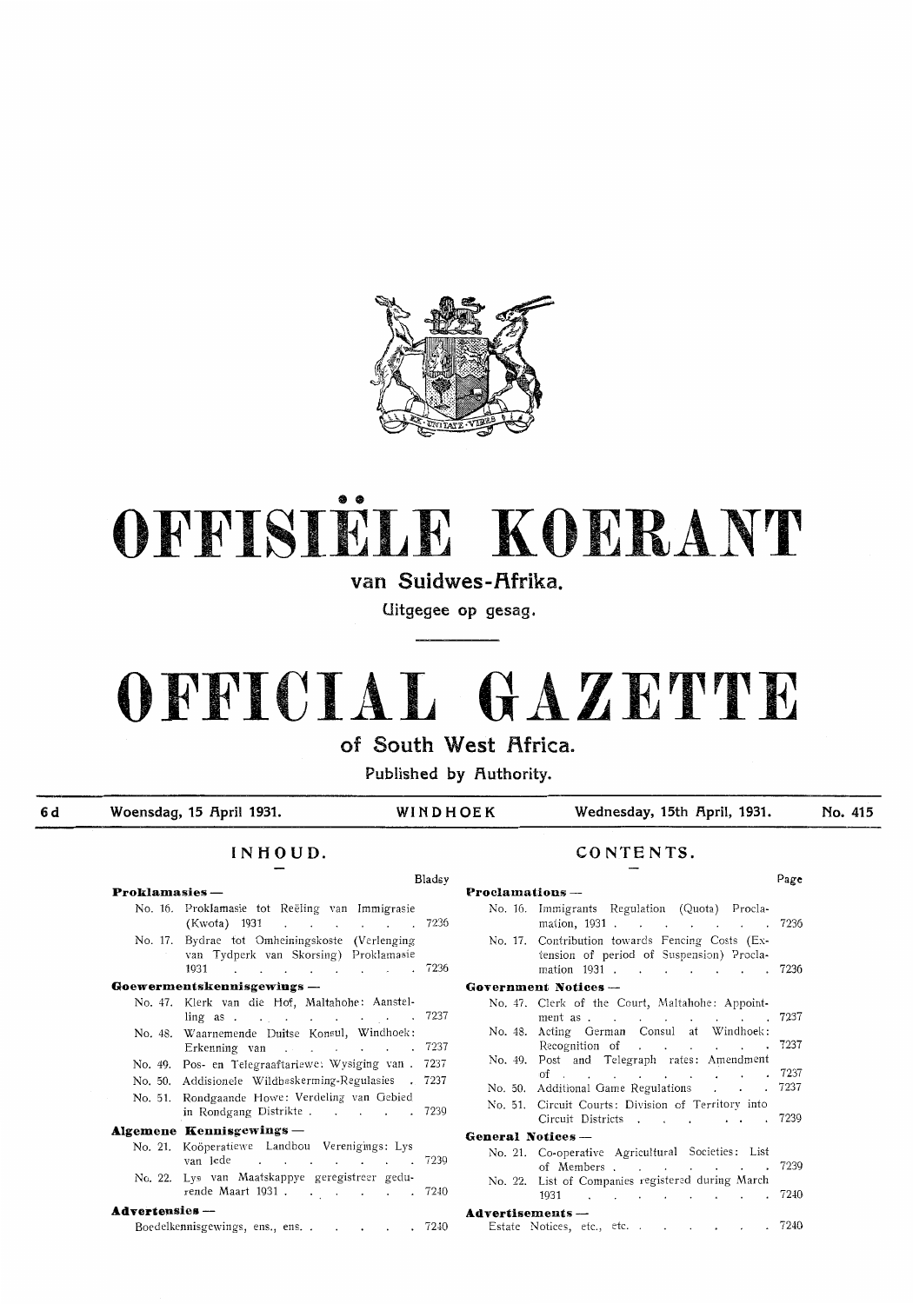

# •• **OFFISIELE KOERANT**

**van Suidwes-f\frika.** 

**Uitgegee op gesag.** 

## **OFFICIAL GAZETTE**

**of South West f\frica.** 

**Published by Authority.** 

**6d** 

**Woensdag, 15 Rpril 1931. WINDHOEK Wednesday, 15th Rpril, 1931. No. 415** 

### **INHOUD.**

Bladsy

| ${\bf Proklamasies}$ $-$ |                                                                                         |        |
|--------------------------|-----------------------------------------------------------------------------------------|--------|
|                          | No. 16. Proklamasie tot Reëling van Immigrasie                                          |        |
|                          | (Kwota) 1931 7236                                                                       |        |
|                          | No. 17. Bydrae tot Omheiningskoste (Verlenging<br>van Tydperk van Skorsing) Proklamasie |        |
|                          | 1931 7236                                                                               |        |
|                          | Goewermentskennisgewings -                                                              |        |
|                          | No. 47. Klerk van die Hof, Maltahohe: Aanstel-                                          |        |
|                          | $\lim_{x \to 0}$ as 7237                                                                |        |
|                          | No. 48. Waarnemende Duitse Konsul, Windhoek:                                            |        |
|                          | Erkenning van 7237                                                                      |        |
|                          | No. 49. Pos- en Telegraaftariewe: Wysiging van . 7237                                   |        |
|                          | No. 50. Addisionele Wildbeskerming-Regulasies . 7237                                    |        |
|                          | No. 51. Rondgaande Howe: Verdeling van Gebied                                           |        |
|                          |                                                                                         |        |
|                          | Algemene Kennisgewings —                                                                |        |
| No. 21.                  | Koöperatiewe Landbou Verenigings: Lys                                                   |        |
|                          | van lede 7239                                                                           |        |
|                          | No. 22. Lys van Maatskappye geregistreer gedu-<br>rende Maart 1931 7240                 |        |
|                          |                                                                                         |        |
| <b>Advertensies</b> --   |                                                                                         |        |
|                          | Boedelkennisgewings, ens., ens.<br><b>Contract</b>                                      | . 7240 |

#### **CONTENTS.**

**Page Proclamations** - No. 16. Immigrants Regulation (Quota) Proclamation, 1931 . . . . . . . 7236 No. 17. Contribution towards Fencing Costs (Extension of period of Suspension) Proclamation 1931 . . . . . . 7236 **Government Notices** - No. 47. Clerk of the Court, Maltahohe: Appoint-7237 ment as . No. 48. Acting German Consul at Windhoek: Recognition of . 7237  $\mathbf{r}$  and  $\mathbf{r}$ No. 49. Post and Telegraph rates: Amendment 7237 of .  $\ddot{\phantom{a}}$ 7237 No. 50. Additional Game Regulations No. 51. Circuit Courts: Division of Territory into Circuit Districts . . . . . . . 7239 General Notices -No. 21. Co-operative Agricultural Societies: List of Members . . . . . No. 22. List of Companies registered during March<br>1931 . . . . . . . . . . . . . . . 7240 1931 7240 **Advertisements** - Estate Notices, etc., etc. . . . . . . 7240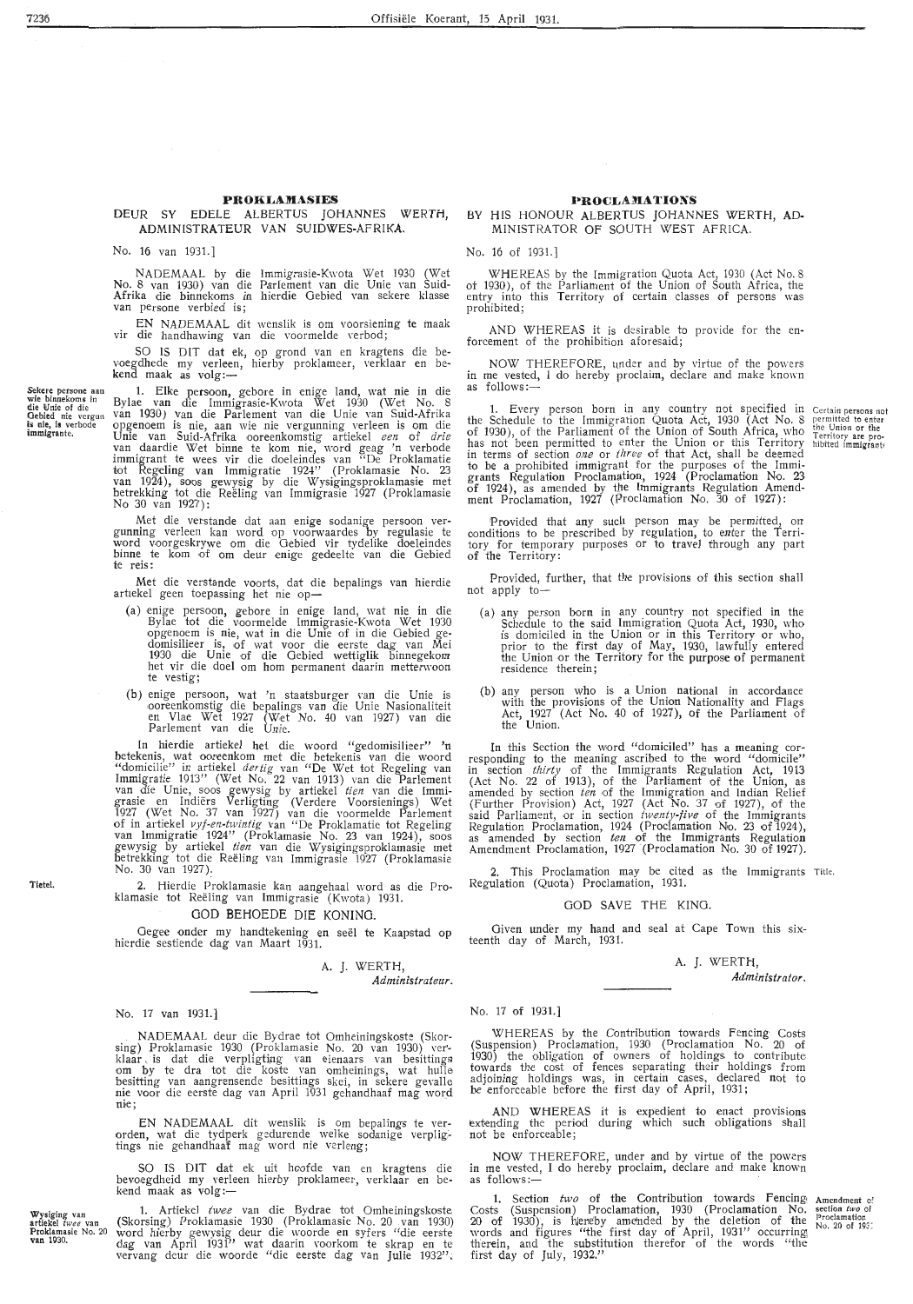#### **PROKLAHASIES**

#### DEUR SY EDELE ALBERTUS JOHANNES WERTH, BY HIS HONOUR ALBERTUS JOHANNES WERTH, AD-ADMINISTRATEUR VAN SUIDWES-AFRIKA.

No. 16 van 1931.]

NADEMAAL by die Immigrasie-Kwota Wet 1930 (Wet No. 8 van 1930) van die Parlement van die Unie van Suid-Afrika die binnekoms in hierdie Gebied van sekere klasse van persone verbied is;

EN NADEMAAL dit wenslik is om voorsiening te tnaak vir die handhawing van die voormelde verbod;

SO IS DIT dat ek, op grond van en kragtens die bevoegdhede my verleen, hierby proklameer, verklaar en be-<br>kend maak as volg:—

Sekere persone aan wie binnekoms in die Unie of die<br>die Unie of die<br>Gebied nie vergun<br>**is: nie,** *is* verbode **immigrante**.

Tietel.

Wysiging van artiekel *twee* van Proklamasie No. 20 van 1930.

1. Elke persoon, gebore in enige land, wat nie in die Bylae van die Immigrasie-Kwota Wet 1930 (Wet No. 8 van 1930) van die Parlement van die Unie van Suid-Afrika opgenoem is nie, aan wie nie vergunning verleen is om die Unie van Suid-Afrika ooreenkomstig artiekel *een* of *drie* van daardie Wet binne te kom nie, word geag 'n verbode immigrant te wees vir die doeleindes van "De Proklamatie tot Regeling van Immigratie 1924" (Proklamasie No. 23 van 1924), soos gewysig by die Wysigingsproklamasie met betrekking tot die Reeling van Immigrasie 1927 (Proklamasie No 30 van 1927):

Met die verstande dat aan enige sodanige persoon vergunning verleen kan word op voorwaardes by regulasie te word voorgeskrywe om die Oebied vir tydelike doeleindes binne te kom of om deur enige gedeelte van die Gebied te reis:

Met die verstande voorts, dat die bepalings van hierdie artiekel geen toepassing het nie op-

- (a) enige persoon, gebore in enige land, wat nie in die Bylae tot die voormelde Immigrasie-Kwota Wet 1930 opgenoem is nie, wat in die Unie of in die Gebied ge-domisilieer is, of wat voor die eerste da,g van Mei 1930 die Unie of die Gebied wettiglik binnegekom het vir die doe! om horn permanent daarin metterwoon te vestig;
- (b) enige persoon, wat 'n staatsburger van die Unie is ooreenkomstig die bepalings van die Unie Nasionaliteit en Vlae Wet 1927 (Wet No. 40 van 1927) van die Parlement van die Unie.

In hierdie artiekel hei. die woord "gedomisilieer" 'n betekenis, wat ooreenkom met die betekenis van die woord "domicilie" in artiekel *dertig* van "De Wet tot Regeling van lmmigratie 1913" (Wet No. 22 van 1913) van die Parlement van die Unie, soos gewysig by artiekel *tien* van die Immigrasie en Indiers Verligting (Verdere Voorsienings) Wet 1927 (Wet No. 37 van 1927) van die voormelde Parlement of in artiekel *vyf-en-twintig* van "De Proklamatie tot Regeling van Immigratie 1924" (Proklamasie No. 23 van 1924), soos gewysig by artiekel *tien* van die Wysigingsproklamasie met betrekking tot die Reeling van Immigrasie 1927 (Proklamasie No. 30 van 1927):

2. Hierdie Proklamasie kan aangehaal word as die Proklamasie tot Reeling van Immigrasie (Kwota) 1931.

#### GOD BEHOEDE DIE KONING.

Oegee onder my handtekening en see! te Kaapstad op hierdie sestiende dag van Maart 1931.

> A. J. WERTH, *Administrateur.*

No. 17 van 1931.)

NADEMAAL deur die Bydrae tot Omheiningskoste (Skorsing) Proklamasie 1930 (Proklamasie No. 20 van 1930) ver-<br>klaar is dat die verpligting van eienaars van besittings ;om by te dra tot die koste van omheinings, wat hulle besitting van aangrensende besittings skei, in sekere gevalle :nie voor die eerste dag van April 1931 gehandhaaf mag word nie;

EN NADEMAAL dit wenslik is om bepalings te verorden, wat die tydperk gedurende welke sodanige verplig. tings nie gehandhaaf mag word nie verleng;

SO IS DIT dat ek uit hoofde van en kragtens die bevoegdheid my verleen hierby proklameer, verklaar en bekend maak as volg:-

1. Artiekel twee van die Bydrae tot Omheiningskoste (Skorsing) Proklamasie 1930 (Proklamasie No. 20 van 1930) word hierby gewysig deur die woorde en syfers "die eerste dag van April 1931" wat daarin voorkom te skrap en te vervang deur die woorde "die eerste dag van Julie 19321';

#### **PROCLAMATIONS**

MINISTRATOR OF SOUTH WEST AFRICA.

No. 16 of 1931.]

WHEREAS by the Immigration Quota Act, 1930 (Act No. 8 of 1930), of the Parliament of the Union of South Africa, the entry into this Territory of certain classes of persons was prohibited;

AND WHEREAS it is desirable to provide for the enforcement of the prohibition aforesaid;

NOW THEREFORE, under and by virtue of the powers in me vested, I do hereby proclaim, declare and make known as follows:-

1. Every person born in any country not specified in the Schedule to the Immigration Quota Act, 1930 (Act No. 8) of 1930), of the Parliament of the Union of South Africa, who has not been permitted to enter the Union or this Territory in terms of section *one* or *three* of that Act, shall be deemed to be a prohibited immigrant for the purposes of the Immigrants Regulation Proclamation, 1924 (Proclamation No. 23 of 1924), as amended by the Immigrants Regulation Amendment Proclamation, 1927 (Proclamation No. 30 of 1927):

Provided that any such person may be permitted, on conditions to be prescribed by regulation, to enter the Territory for temporary purposes or to travel through any part of the Territory:

Provided, further, that the provisions of this section shall not apply to-

- (a) any person born in any country not specified in the Schedule to the said Immigration Quota Act, 1930, who is domiciled in the Union or in this Territory or who, prior to the first day of May, 1930, lawfully entered the Union or the Territory for the purpose of permanent residence therein;
- (b) any person who is a Union national in accordance with the provisions of the Union Nationality and Flags Act, 1927 (Act No. 40 of 1927), of the Parliament of the Union.

In this Section the word "domiciled" has a meaning corresponding to the meaning ascribed to the word "domicile" in section *thirty* of the Immigrants Regulation Act, 1913 (Act No. 22 of 1913), of the Parliament of the Union, as amended by section *ten* of the Immigration and Indian Relief (Further Provision) Act, 1927 (Act No. 37 of 1927), of the said Parliament, or in section *twenty-five* of the Immigrants Regulation Proclamation, 1924 (Proclamation No. 23 of 1924), as amended by section *ten* of the Immigrants Regulation Amendment Proclamation, 1927 (Proclamation No. 30 of 1927).

This Proclamation may be cited as the Immigrants Title. Regulation (Quota) Proclamation, 1931.

#### GOD SAVE THE KING.

Given under my hand and seal at Cape Town this sixteenth day of March, 1931.

A. J. WERTH,

*Administrator.* 

No. 17 of 1931.]

WHEREAS by the Contribution towards Fencing Costs<br>nansion) Proclamation. 1930 (Proclamation No. 20 of (Suspension) Proclamation, 1930 (Proclamation No. 20 of 1930) the obligation of owners of holdings to contribute; towards the cost of fences separating their holdings from adjoining holdings was, in certain cases, declared not to be enforceable before the first day of April, 1931;

AND WHEREAS it is expedient to enact provisions extending the period during which such obligations shall not be enforceable;

NOW THEREFORE, under and by virtue of the powers in me vested, I do hereby proclaim, declare and make known as follows:-

1. Section *two* of the Contribution towards Fencing Costs (Suspension) Proclamation, 1930 (Proclamation No. 20 of 1930), is heneby amended by the deletion of the words and figures "the first day of April, 1931" occurring therein, and the substitution therefor of the words "the first day of July, 1932." Amendment of<br> **section** *two* of<br> **Proclamation**<br>
No. 20 of 193:

**Certain persons not**<br>permitted to enter<br>the Union or the Territory are pro- hibited immigrant,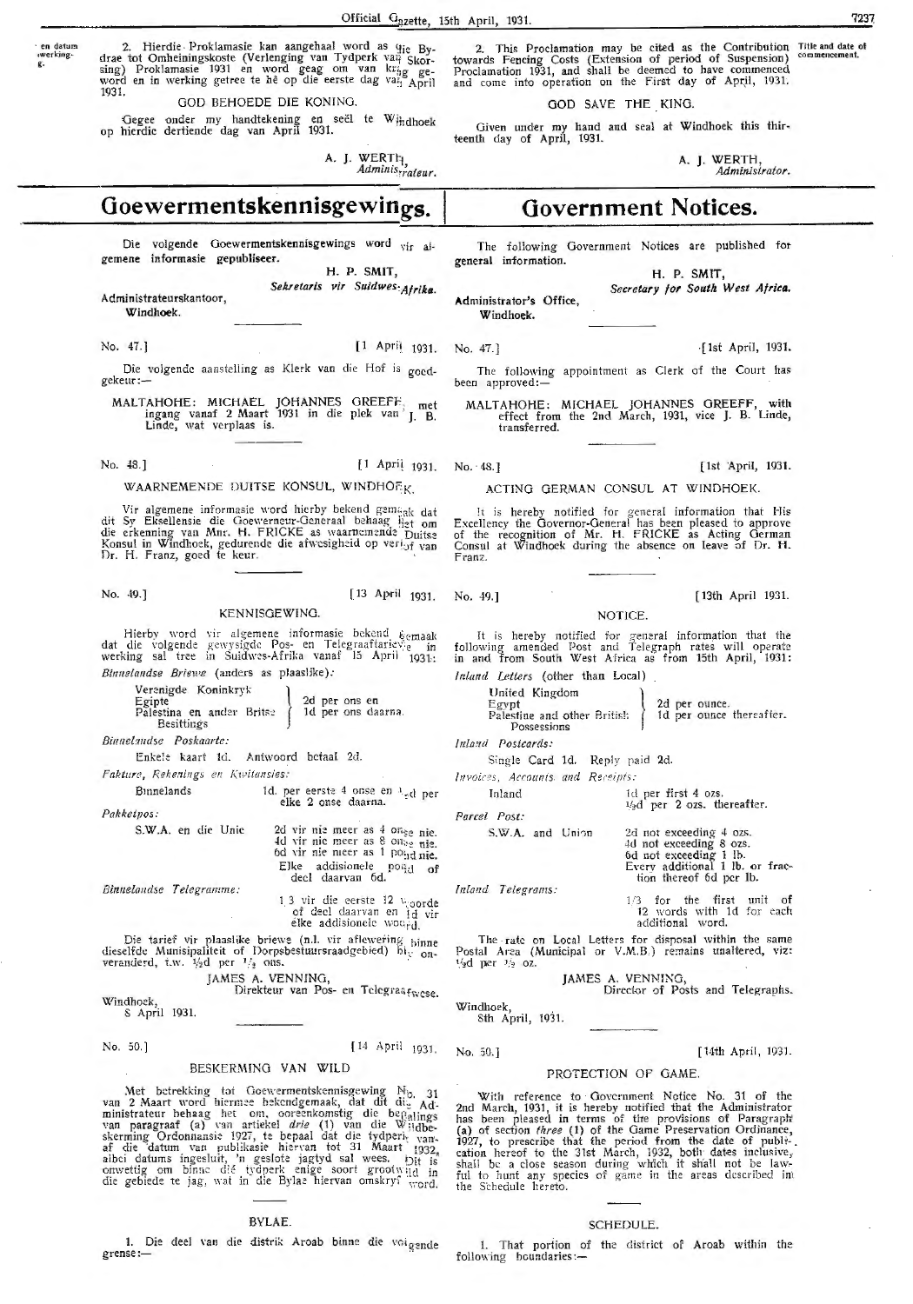2. Hierdie Proklamasie kan aangehaal word as  $q_{ie}$  By-<br>drae tot Omheiningskoste (Verlenging van Tydperk vaq Skorsing) Proklamasie 1931 en word geag om van kr<sub>igg ge-</sub> word en in werking getree te hê op die eerste dag va<sub>i</sub>r April 1931.

GOD BEHOEDE DIE KONING.

Gegee onder my handtekening en seël te Windhoek op hierdic dertiende dag van April 1931.

> **A. J.** WERTH, Adminis<sub>trateur.</sub>

2. This Proclamation may be cited as the Contribution towards Fencing Costs (Extension of period of Suspension) Proclamation 1931, and shall be deemed to have commenced and come into operation on the First day of April, 1931. Title and date ot **commencement.** 

GOD SAVE THE KING.

Given under my hand and seal at Windhoek this thir,

Administrator.

## **Goewermentskennisgewings.**

Die volgende Goewermentskennisgewings word vir al**gemene informasie gepubliseer.** 

**H. P. SMIT,**  Sekretaris vir Suidwes: Afrika.

Administrateurskantoor, **Windhoek.** 

· **en datum 11A1 erking ..**  g·.

No. 47.] **1931.** [1 April<sub>, 1931</sub>. No. 47.] **1931.** [1st April, 1931.

Die volgende aanstelling as Klerk van die Hof is goedgekeur :-

MALTAHOHE: MICHAEL JOHANNES GREEFF, met ingang vanaf 2 Maart 1931 in die plek van ' J. B. Linde, wat verplaas is.

No. 48.] [1st 'April, 1931. No. 48.] [1st 'April, 1931.

WAARNEMENDE DUITSE KONSUL, WINDHOEK

Vir algemene informasie word hierby bekend geme<sub>ak dat</sub> dit Sy Eksellensie die Goewerncur-Generaal behaag het om<br>die erkenning van Mnr. H. FRICKE as waarnemende Duitse Konsul in Windhoek, gedurende die afwesigheid op veri<sub>:)f</sub> van<br>Dr. H. Franz, goed te keur.

#### KENNISOEWINO.

Hierby word vir algemene informasie bekend gemaak dat die volgende gewysigde Pos- en Telegraaftanevig in werking sal tree in Suidwes-Afrika vanaf I5 April 1931,: *Bim1e{a11dse Briewe* (anders as plaaslike):

| Verenigde Koninkryk                                      |                                     |
|----------------------------------------------------------|-------------------------------------|
| Egipte<br>Palestina en ander Britse<br><b>Besittings</b> | 2d per ons en<br>1d per ons daarna. |

*Binnelandse Poskaarte:* 

Enkele kaart 1d. Aniwoord hctaal 2d.

Fakture, Rekenings en Kwitansies:

Binnelands 1d. per eerste 4 onse en 1, de per elke 2 onse daarna. *Pakketpos:* 

| S.W.A. en die Unie |  | 2d vir nie meer as 4 onge nie.<br>4d vir nie meer as 8 on <sub>ce uie.</sub><br>6d vir nie meer as 1 pond nie. |
|--------------------|--|----------------------------------------------------------------------------------------------------------------|
|                    |  | Elke addisionele pond of<br>deel daarvan 6d.                                                                   |

*Binnelandse Te/egramme:* 

1\_3 vir die eerste 12 <sub>''.</sub>...orde<br>of deel daarvan en <sub>1d vir</sub> elke addisionele wourd.

Die tarief vir plaaslike briewe (n.1. vir aflewering hinne dieselfde Munisipaliteit of Dorpsbestuursraadgebied) bi<sub>y</sub> onveranderd, t.w. ½d per  $\frac{1}{2}$  ons.

JAMES A. VENNING,

Windhoek, Direkteur van Pos- en Telegraafwese.

S April 1931.

No. 50.] [14 April 1931.

#### BESKERMlNO VAN WILD

. Met betrekking tot Ooewermentskennisgewing  $N_D$ , 31 van 2 Maart word hiermee bekendgemaak, dat dit dit  $AA$ . ministrateur hehaag het om. ooreenkomstig die begalings van paragraaf (a) van artiekel *drie* (1) van die Wiidheskerming Ordonnansie 1927, te bepaal dat die tydperi<sub>t</sub> van-<br>af die datum van publikasie hiervan tot 31 Maart 1932 albei datums ingesluit, 'n geslote jagtyd sal wees. i)it is onwettig om binne die tydperk enige soort grootwijd in die gebiede te jag, wat in die Bylae hiervan omskryf word.

#### BYLAE.

1. Die deel van die distrik Aroab binne die voigende grense:-

teenth day of April, 1931. **A. J.** WERTH,

## **Government Notices.**

The following Government Notices are published for general information.

H. P. SMIT,

Administrator's Office, Windhoek. *Secretary for South West Africa.* 

The following appointment as Clerk of the Court has been approved:-

MALTAHOHE: MICHAEL JOHANNES GREEFF, with effect from the 2nd March, 1931, vice J. B. Linde, transferred.

#### ACTING GERMAN CONSUL AT WINDHOEK.

lt is hereby notified for general information that Mis Excellency the Governor-General has been pleased to approve of the recognition of Mr. H. FRICKE as Acting German Consul at Windhoek during the absence on leave of Dr. H. Franz.

#### No. 49.] [ 13 April 1931. No. 49.] [ 13th April 1931. NOTICE.

It is hereby notified for general information that the following amended Post and Telegraph rates will operate in and from South West Africa as from 15th April, 1931:

| Inland Letters (other than Local)                                       |                                           |
|-------------------------------------------------------------------------|-------------------------------------------|
| United Kingdom<br>Egypt<br>Palestine and other British (<br>Possessions | 2d per ounce.<br>1d per onnce thereafter. |
| Inland Postcards:                                                       |                                           |

Single Card 1d. Reply paid 2d.

*lnvoices*, *Accounts. and Receipts:* 

Inland 1d per first 4 ozs.

|  |  |  |  |  | 1/2d per 2 ozs. thereafter. |
|--|--|--|--|--|-----------------------------|
|--|--|--|--|--|-----------------------------|

*Parcel Post:*  S.W.A. and Union

2d not exceeding 4 ozs. 4d not exceeding 8 ozs.

- 6d not exceeding 1 lb.<br>Every additional 1 lb. or frac
	- tion thereof Gd per lb.

fnlmzd *Telegrams:* 

1/3 for the first unit of 12 words with ld for each additional word.

The rate on Local Letters for disposal within the same Postal Arza (Municipal or V.M.B.) remains unaltered, viz:  $t'_2$ d per  $1'_2$  oz.

JAMES A. VENNING, Director of Posts and Telegraphs. Windhoek,

8th April, 1931.

No. 50.] [14th April, 1931.

#### PROTECTION OF GAME.

With reference to Government Notice No. 31 of the 2nd March, 1931, it is hereby notified that the Administrator has been pleased in terms of the provisions of Paragraph (a) of section three (1) of the Game Preservation Ordinance, 1927, to prescribe that the period from the date of publi-. cation hereof to the 31st March, 1932, both dates inclusive, shall be a close season during which it shall not be law-<br>ful to hunt any species of game in the areas described in the Schedule hereto.

#### SCHEDULE.

1. That poriion of following boundaries:**the district** or- Aroab within the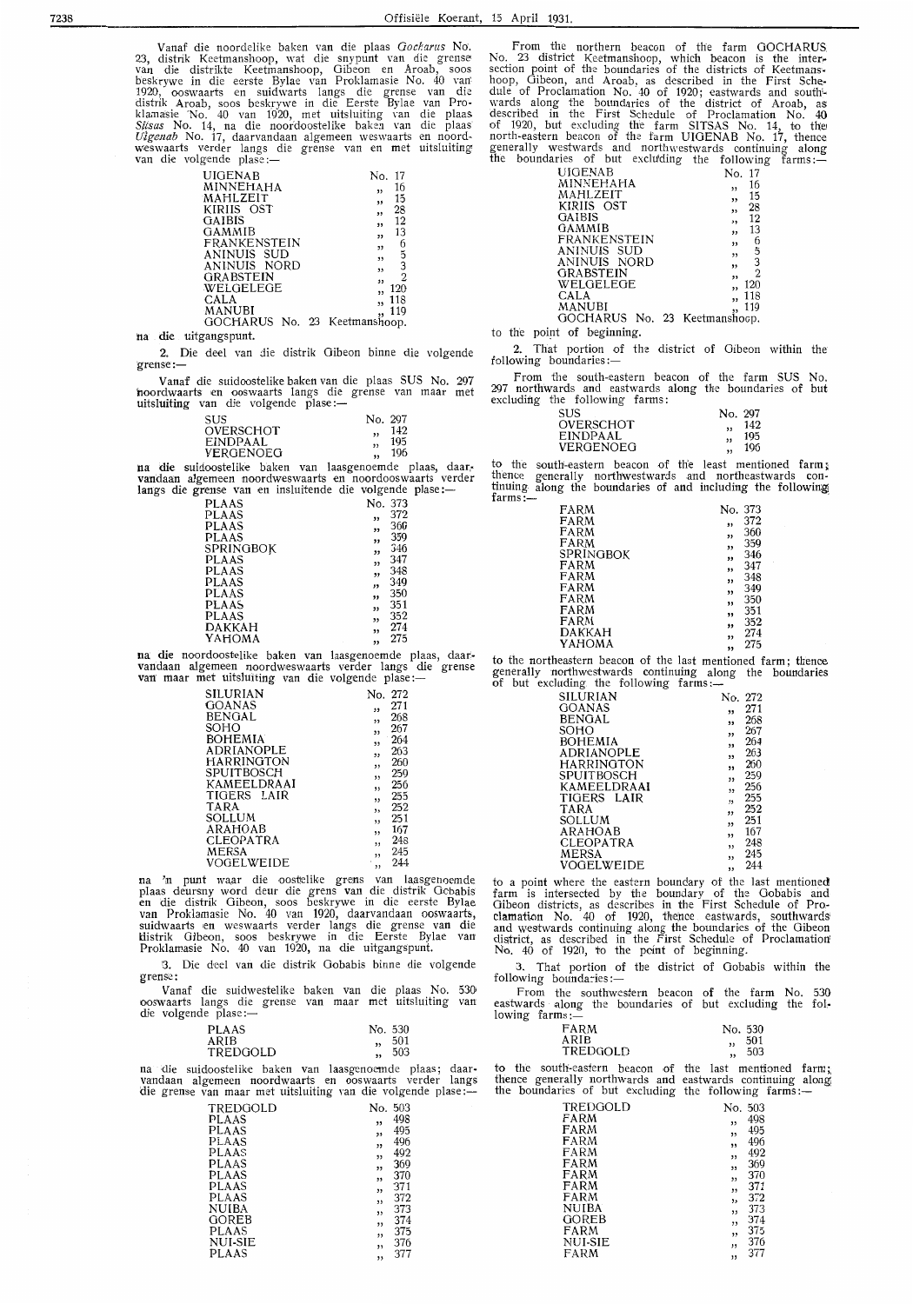Vanaf die noordelike baken van die plaas *Gocharus* No.<br>23, distrik Keetmanshoop, wat die snypunt van die grense<br>van die distrikte Keetmanshoop, Gibeon en Aroab, soos<br>beskrywe in die eerste Bylae van Proklamasie No. 40 van distrik Aroab, soos beskrywe in die Eerste Bylae van Proklamasie 'No. 40 van 1920, met uitsluiting \·an die plaas *Sttsas* No. 14, na die noordoostelike baken van die plaas *Uigenab* No. 17, daarvandaan algemeen weswaarts en noordweswaarts verder langs die grense van en met uitsluiting<br>van die volgende plase:—

| <b>UIGENAB</b>                | No.<br>17                                        |
|-------------------------------|--------------------------------------------------|
| MINNEHAHA                     | 16<br>,,                                         |
| MAHLZEIT                      | 15<br>,,                                         |
| KIRIIS OST                    | 28<br>,,                                         |
| <b>GAIBIS</b>                 | 12<br>,,                                         |
| GAMMIB                        | 13<br>,,                                         |
| <b>FRANKENSTEIN</b>           | $\begin{array}{c} 6 \\ 5 \\ 2 \end{array}$<br>,, |
| ANINUIS SUD                   | ,,                                               |
| ANINUIS NORD                  | ,,                                               |
| <b>GRABSTEIN</b>              | ,,                                               |
| WELGELEGE                     | 120<br>,,                                        |
| <b>CALA</b>                   | 118<br>,                                         |
| <b>MANUBI</b>                 | 119                                              |
| GOCHARUS No. 23 Keetmanshoop. |                                                  |
|                               |                                                  |

**na** die uitgangspunt.

**2.** Die deel van die distrik Gibeon binne die volgende grense:-

Vanaf die suidoostelike baken van die plaas SUS No. 297<br>moordwaarts en ooswaarts langs die grense van maar met<br>uitsluiting van die volgende plase: met

| SUS       |  | No. 297 |     |
|-----------|--|---------|-----|
| OVERSCHOT |  | ,,      | 142 |
| EINDPAAL  |  |         | 195 |
| VERGENOEG |  |         | 196 |

VEROENOEG 196 " **na** die suidoostelike baken van laasgenoemde plaas, daar,- vandaan algeme-en noordweswaarts en noordooswaarts verder vandaan algemeen hoordweswaarts en hoordooswaarts ver<br>langs die grense van en insluitende die volgende plase :-

| PLAAS        | 373<br>No. |
|--------------|------------|
| PLAAS        | 372<br>,,  |
| <b>PLAAS</b> | 360<br>,,  |
| PLAAS        | 359<br>,,  |
| SPRINGBOK    | 346<br>,,  |
| <b>PLAAS</b> | 347<br>,,  |
| <b>PLAAS</b> | 348<br>,,  |
| <b>PLAAS</b> | 349<br>,,  |
| <b>PLAAS</b> | 350<br>,,  |
| <b>PLAAS</b> | 351<br>,,  |
| <b>PLAAS</b> | 352<br>,,  |
| DAKKAH       | 274<br>,,  |
| YAHOMA       | 275<br>,,  |
|              |            |

**na die noordoostelike baken van laasgenoemde plaas, daar**vandaan algemeen noordweswaarts verder langs die grense<br>van maar met uitsluiting van die volgende plase:—

| SILURIAN              | No. 272          |
|-----------------------|------------------|
| GOANAS                | 271<br>,,        |
| <b>BENGAL</b>         | 268<br>,,        |
| SOHO                  | 267<br>,,        |
| <b>BOHEMIA</b>        | 264<br>,,        |
| ADRIANOPLE            | 263<br>,,        |
| HARRINGTON            | 260<br>,,        |
| SPUITBOSCH            | 259<br>,         |
| KAMEELDRAAI           | 256<br>,,        |
| TIGERS LAIR           | 255<br>,,        |
| <b>TARA</b><br>SOLLUM | 252<br>,,<br>251 |
| ARAHOAB               | ,,<br>167        |
| CLEOPATRA             | ,,<br>248        |
| MERSA                 | ,,<br>245        |
| VOGELWEIDE            | ,,<br>244        |
|                       | ,,               |

na 'n punt waar die oostelike grens van laasgenoemde plaas deursny word deur die grens van die distrik Gobabis<br>• en die distrik Gibeon, soos beskrywe in die eerste Bylae van Proklamasie No. 40 van 1920, daarvandaan ooswaarts, suidwaarts en weswaarts verder langs die grense van die tlistrik Gibeon, soos beskrywe in die Eerste Bylae van Proklamasie No. 40 van 1920, na die uitgangspunt.

3. Die dee! van die distrik Gobabis binne die volgende grens:e:

Vanaf die suidwestelike baken van die plaas No. 530 ooswaarts langs die grense van maar met uitsluiting van die volgende plase:—

| <b>PLAAS</b> | No. 530 |     |  |
|--------------|---------|-----|--|
| ARIB         | ,,      | 501 |  |
| TREDGOLD     | ٠,      | 503 |  |
|              |         |     |  |

na die suidoostelike baken van laasgenoemde plaas; daarvandaan algemeen noordwaarts en ooswaarts verder langs<br>die grense van maar met uitsluiting van die volgende plase:—

| TREDGOLD     | No. | 503 |
|--------------|-----|-----|
| PLAAS        | ,,  | 498 |
| PLAAS        | ,,  | 495 |
| PLAAS        | ,,  | 496 |
| <b>PLAAS</b> | ,,  | 492 |
| PLAAS        | ,,  | 369 |
| PLAAS        | "   | 370 |
| PLAAS        | ,,  | 371 |
| PLAAS        | ,,  | 372 |
| NUIBA        | ,,  | 373 |
| GOREB        | ,,  | 374 |
| PLAAS        | ,,  | 375 |
| NUI-SIE      | ,,  | 376 |
| PLAAS        | ,,  | 377 |
|              |     |     |

From the northern beacon of the farm GOCHARUS No. 23 district Keetmanshoop, which beacon is the inter-<br>section point of the boundaries of the districts of Keetmans-<br>hoop, Oibeon, and Aroab, as described in the First Schedule of Proclamation No. 40 of 1920; eastwards and south-<br>wards along the boundaries of the district of Aroab, as<br>described in the First Schedule of Proclamation No. 40 of 1920, but excluding the farm SITSAS No. 14, to the north-eastern beacon of the farm UIGENAB No. 17, thence generally westwards and northwestwards continuing along<br>the boundaries of but excluding the following farms:—

| UIGENAB                       | No. | 17            |
|-------------------------------|-----|---------------|
| MINNEHAHA                     | ,,  | 16            |
| MAHLZEIT                      | ,,  | 15            |
| KIRIIS OST                    | ,,  | 28            |
| GAIBIS                        | ,,  | 12            |
| GAMMIB                        | ,,  | 13            |
| FRANKENSTEIN                  | ,,  | 6             |
| ANINUIS SUD                   | ,,  | $\frac{5}{2}$ |
| ANINUIS NORD                  | ,,  |               |
| GRABSTEIN                     | ,,  |               |
| WELGELEGE                     |     | 120           |
| CALA                          |     | 118           |
| MANUBI                        |     | 119           |
| GOCHARUS No. 23 Keetmanshoop. |     |               |
|                               |     |               |

to the point of beginning.

2. That portion of the district of Gibeon within the following boundaries:-

From the south-eastern beacon of the farm SUS No. 297 northwards and eastwards along the boundaries of but excluding the following farms:

| <b>SUS</b>      | No. 297   |
|-----------------|-----------|
| OVERSCHOT       | 142<br>,, |
| <b>EINDPAAL</b> | 195<br>,, |
| VERGENOEG       | 196<br>,, |

to the south.eastern beacon of tne least mentioned farm; thence generally northwestwards and northeastwards continuing along the boundaries of and including the following<br>farms:--

| FARM         | No.      | 373        |
|--------------|----------|------------|
| FARM         | ,,       | 372        |
| FARM         | ,,       | 360        |
| FARM         | ,,       | 359        |
| SPRINGBOK    | ,,       | 346<br>347 |
| FARM<br>FARM | ,,       | 348        |
| FARM         | ,,       | 349        |
| FARM         | ,,<br>,, | 350        |
| FARM         | ,,       | 351        |
| FARM         | ,,       | 352        |
| DAKKAH       | ,,       | 274        |
| YAHOMA       | ,,       | 275        |

**YAHOMA** , 275<br>to the northeastern beacon of the last mentioned farm; thence generally northwestwards continuing along the boundaries<br>of but excluding the following farms:—

| SILURIAN      | No. | 272 |
|---------------|-----|-----|
| <b>GOANAS</b> | ,,  | 271 |
| BENGAL        | ,,  | 268 |
| SOHO          | ,,  | 267 |
| BOHEMIA       | ,,  | 264 |
| ADRIANOPLE    | ,,  | 263 |
| HARRINGTON    | ,,  | 260 |
| SPUITBOSCH    | ,,  | 259 |
| KAMEELDRAAI   | ,,  | 256 |
| TIGERS LAIR   | ,,  | 255 |
| <b>TARA</b>   | ,,  | 252 |
| SOLLUM        | ,,  | 251 |
| ARAHOAB       | ,,  | 167 |
| CLEOPATRA     | ,,  | 248 |
| MERSA         | ,,  | 245 |
| VOGELWEIDE    | ,,  | 244 |
|               |     |     |

to a point where the eastern boundary of the last mentioned farm is intersected by the boundary of the Gobabis and Gibeon districts, as describes in the First Schedule of Pro. clamation No. 40 of 1920, thence eastwards, southwards and westwards continuing along the boundaries of the Gibeon district, as described in the First Schedule of Proclamation No. 40 of 1920, to the point of beginning.

3. That portion of the district of Gobabis within the following boundaries :-

From the southwestern beacon of the farm No.  $530$ eastwards along the boundaries of but excluding the fol. lowing farms:-

| <b>FARM</b> | No. 530 |     |
|-------------|---------|-----|
| ARIB        | ,,      | 501 |
| TREDGOLD    | ۰,      | 503 |

to the south-eastern beacon of the last mentioned farm; thence generally northwards and eastwards continuing along the boundaries of but excluding the following farms:-

| TREDGOLD     | No.      | 503        |
|--------------|----------|------------|
| FARM         | ,,       | 498        |
| FARM         | ,,       | 495        |
| FARM         | ,,       | 496        |
| FARM<br>FARM | ,,       | 492<br>369 |
| FARM         | ,,       | 370        |
| FARM         | ,,       | 371        |
| FARM         | ,,<br>,, | 372        |
| NUIBA        | ,,       | 373        |
| GOREB        | "        | 374        |
| FARM         | ,,       | 375        |
| NUI-SIE      | ,,       | 376        |
| FARM         | ,,       | 377        |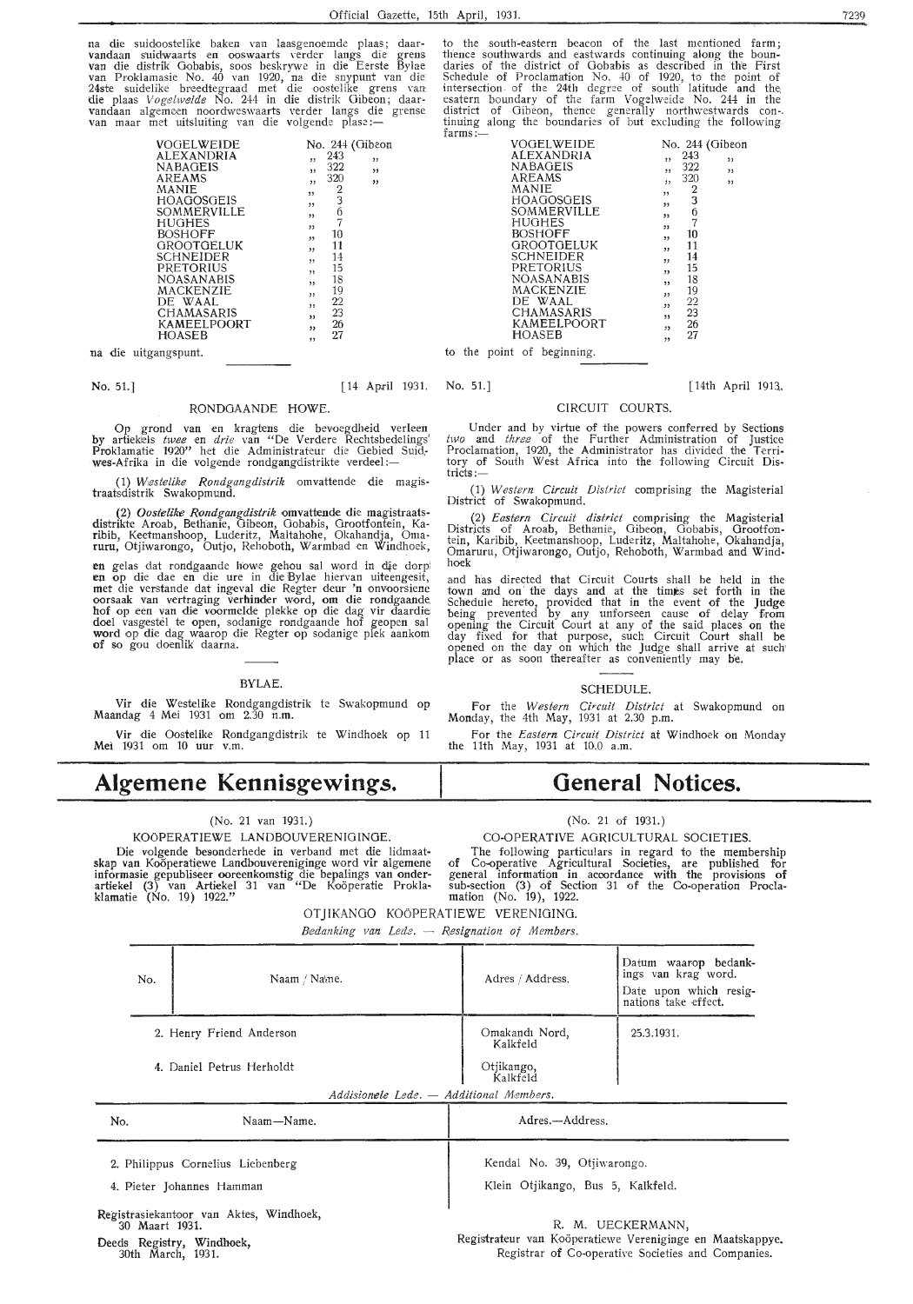na die suidoostelike baken van laasgenoemde plaas; daarvandaan suidwaarts en ooswaarts verder langs die grens<br>van die distrik Oobabis, soos beskrywe in die Eerste Bylae<br>van Proklamasie No. 40 van 1920, na die snypunt van die 24ste suidelike breedtegraad met die oostelike grens van<sup>.</sup><br>die plaas *Vogelweide* No. 244 in die distrik Gibeon; daarvandaan algemeen noordweswaarts verder langs die grense<br>van maar met uitsluiting van die volgende plase:—

to the south-eastern beacon of the last mentioned farm; thence southwards and eastwards continuing along the boundaries of the disfrict of Oobabis as described in the First Schedule of Proclamation No. 40 of 1920, to the point of intersection- of the 24th degree of south latitude and the, esatern boundary of the farm Vogehnide No. 244 in the district of Oibeon, thence generally northweshvards con-. tinuing along the boundaries of but excluding the following farms:—

|                      |                                                                                                                                                                                                                                                                                                                    |                                                                                                                                                                     |                                                                                                                    | $101113 -$ |                                                                                                                                                                                                                                                                                               |                                                                                                                                                              |                                                                                                       |                |
|----------------------|--------------------------------------------------------------------------------------------------------------------------------------------------------------------------------------------------------------------------------------------------------------------------------------------------------------------|---------------------------------------------------------------------------------------------------------------------------------------------------------------------|--------------------------------------------------------------------------------------------------------------------|------------|-----------------------------------------------------------------------------------------------------------------------------------------------------------------------------------------------------------------------------------------------------------------------------------------------|--------------------------------------------------------------------------------------------------------------------------------------------------------------|-------------------------------------------------------------------------------------------------------|----------------|
|                      | <b>VOGELWEIDE</b><br><b>ALEXANDRIA</b><br><b>NABAGEIS</b><br>AREAMS<br>MANIE<br><b>HOAGOSGEIS</b><br>SOMMERVILLE<br><b>HUGHES</b><br><b>BOSHOFF</b><br><b>GROOTGELUK</b><br><b>SCHNEIDER</b><br>PRETORIUS<br><b>NOASANABIS</b><br><b>MACKENZIE</b><br>DE WAAL<br><b>CHAMASARIS</b><br>KAMEELPOORT<br><b>HOASEB</b> | 243<br>53<br>322<br>, ,<br>, ,<br>, ,<br>, ,<br>,<br>"<br>,,<br>, 1, 1<br>55<br>, ,<br>, ,<br>$\overline{\phantom{a}}$<br>$, \,$<br>$\mathbf{v}$<br>$\bullet$<br>,, | No. 244 (Gibeon<br>, 3, 3<br>, 1<br>320<br>,<br>2<br>6<br>10<br>11<br>14<br>15<br>18<br>19<br>22<br>23<br>26<br>27 |            | VOGELWEIDE<br>ALEXANDRIA<br><b>NABAGEIS</b><br>AREAMS<br>MANIE<br>HOAGOSGEIS<br>SOMMERVILLE<br><b>HUGHES</b><br><b>BOSHOFF</b><br><b>GROOTGELUK</b><br><b>SCHNEIDER</b><br>PRETORIUS<br><b>NOASANABIS</b><br><b>MACKENZIE</b><br>DE WAAL<br><b>CHAMASARIS</b><br>KAMEELPOORT<br><b>HOASEB</b> | ,,<br>, ,<br>,,<br>, 3, 3<br>,<br>,,<br>, 2, 3<br>, ,<br>, ,<br>, 3, 3<br>,<br>, ,<br>, ,<br>, ,<br>$\overline{\mathbf{22}}$<br>$\overline{\mathbf{z}}$<br>" | No. 244 (Gibeon<br>243<br>322<br>320<br>6<br>10<br>11<br>14<br>15<br>18<br>19<br>22<br>23<br>26<br>27 | 55<br>,<br>, 1 |
| na die uitgangspunt. |                                                                                                                                                                                                                                                                                                                    |                                                                                                                                                                     |                                                                                                                    | to         | the point of beginning.                                                                                                                                                                                                                                                                       |                                                                                                                                                              |                                                                                                       |                |

## RONDOAANDE HOWE.

Op grond van en kragtens die bevoegdheid verieen by artiekels *twee* en *drie* van "De Verdere Rechtsbedelings' Proklamatie 1920'' het die Administrateur die Gebied Suid-<br><mark>wes-A</mark>frika in die volgende rondgangdistrikte verdeel:—

( l) *Westelike Rondgangdistrik* omvattende die magistraatsdistrik Swakopmund.

(2) Oostelike Rondgangdistrik omvattende die magistraatsdistrikte Aroab, Bethanie, Oibeon, Oobabis, Orootfontein, Karibib, Keetmanshoop, Luderitz, Maltahohe, Okahandja, Omaruru, Otjiwarongo, Outjo, Rehoboth, Warmbad en Windhoek,

en gelas dat rondgaande howe gehou sal word in die dorp:<br>en op die dae en die ure in die Bylae hiervan uiteengesit, met die verstande dat ingeval die Regter deur 'n onvoorsiene oorsaak van vertraging verhinder word, om die rondgaande, hof op een van die voormelde plekke op die dag vir daardie doel vasgiestel te open, sodanige rondgaande hof geopen sal word op die dag waarop die Regter op sodanige plek aankom of so gou doenlik daarna.

#### BYLAE.

Vir die Westelike Rondgangdistrik te Swakopmund op Maandag 4 Mei 1931 om 2.30 n.m.

Vir die Oostelike Rondgangdistrik te Windhoek op 11 **Mei** 1931 om 10 **uur** v.m.

## **Algemene Kennisgewing.s.**

KOÖPERATIEWE LANDBOUVERENIGINGE.

Die volgende besonderhede in verband met die lidmaatskap van Koöperatiewe Landbouvereniginge word vir algemene informasie gepubliseer ooreenkomstig die bepalings van onderartiekel (3) van Artiekel 31 van "De Kooperatie Proklaklamatie (No. 19) 1922."

to the point of beginning.

No. 51.] [14 April 1931. No. 51.] [ 14th April 1913.

#### CIRCUIT COURTS.

Under and by virtue of the powers conferred by Sections *two* a'nd *three* of the Further Administration of Justice Proclamation, 1920, the Administrator has divided the Territory of South \Vest Africa into the following Circuit Districts:-

(1) *Western Circuit District* comprising the Magisterial District of Swakopmund.

(2) *Eastern Circuit district* comprising the Magisterial Districts of Aroab, Bethanie, Oibeon, Oobabis, Grootfontein, Karibib, Keetmanshoop, Luderitz, Maltahohe, Okahandja, Omaruru, Otjiwarongo, Outjo, Rehoboth, Warmbad and Windhoek

and has directed that Circuit Courts shall be held in the town and on the days and at the times set forth in the Schedule hereto, provided that in the event of the Judge being prevented by any unforseen cause of delay from opening the Circuit Court at any of the said places on the day fixed for that purpose, such Circuit Court shall be opened on the day on which the Judge shall arrive at such• place or as soon thereafter as conveniently may he.

#### SCHEDULE.

For the *Western Circuit District* at Swakopmund on Monday, the 4th May, 1931 at 2.30 p.m.

For the *Eastern Circuit District* at Windhoek on Monday the 11th May, 1931 at 10.0 a.m.

## **General Notices.**

#### (No. 21 of 1931.)

CO-OPERATIVE AGRICULTURAL SOCIETIES.

The following particulars in regard to the membership of Co-operative Agricultural Societies, are published for general information in acoordance with the provisions **of**  sub-section (3) of Section 31 of the Co-operation Proclamation (No. 19), 1922.

OTJIKANOO KO0PERATIEWE VERENIOINO.

|                           |                                         | OIJIKANGO KOOPERATIEWE VERENIGING.<br>Bedanking van Lede. - Resignation of Members. |                                                                                               |  |  |
|---------------------------|-----------------------------------------|-------------------------------------------------------------------------------------|-----------------------------------------------------------------------------------------------|--|--|
| No.                       | Naam / Name.                            | Adres / Address.                                                                    | Datum waarop bedank-<br>ings van krag word.<br>Date upon which resig-<br>nations take effect. |  |  |
|                           | 2. Henry Friend Anderson                | Omakandi Nord,<br>Kalkfeld                                                          | 25.3.1931.                                                                                    |  |  |
| 4. Daniel Petrus Herholdt |                                         | Otjikango,<br>Kalkfeld                                                              |                                                                                               |  |  |
|                           |                                         | Addisionele Lede. - Additional Members.                                             |                                                                                               |  |  |
| No.                       | Naam-Name.                              | Adres.-Address.                                                                     |                                                                                               |  |  |
|                           | 2. Philippus Cornelius Liebenberg       | Kendal No. 39, Otjiwarongo.                                                         |                                                                                               |  |  |
| 4. Pieter Johannes Hamman |                                         |                                                                                     | Klein Otjikango, Bus 5, Kalkfeld.                                                             |  |  |
|                           | ww.intensialrantoon van Aletsa Windhook |                                                                                     |                                                                                               |  |  |

van Aktes, Windhoek, Registrasiekantoor<br>30 Maart 1931. Deeds Registry, Windhoek,

30th March, 1931.

R. M. UECKERMANN, Registrateur van Koöperatiewe Vereniginge en Maatskappye. Registrar of Co-operative Societies and Companies.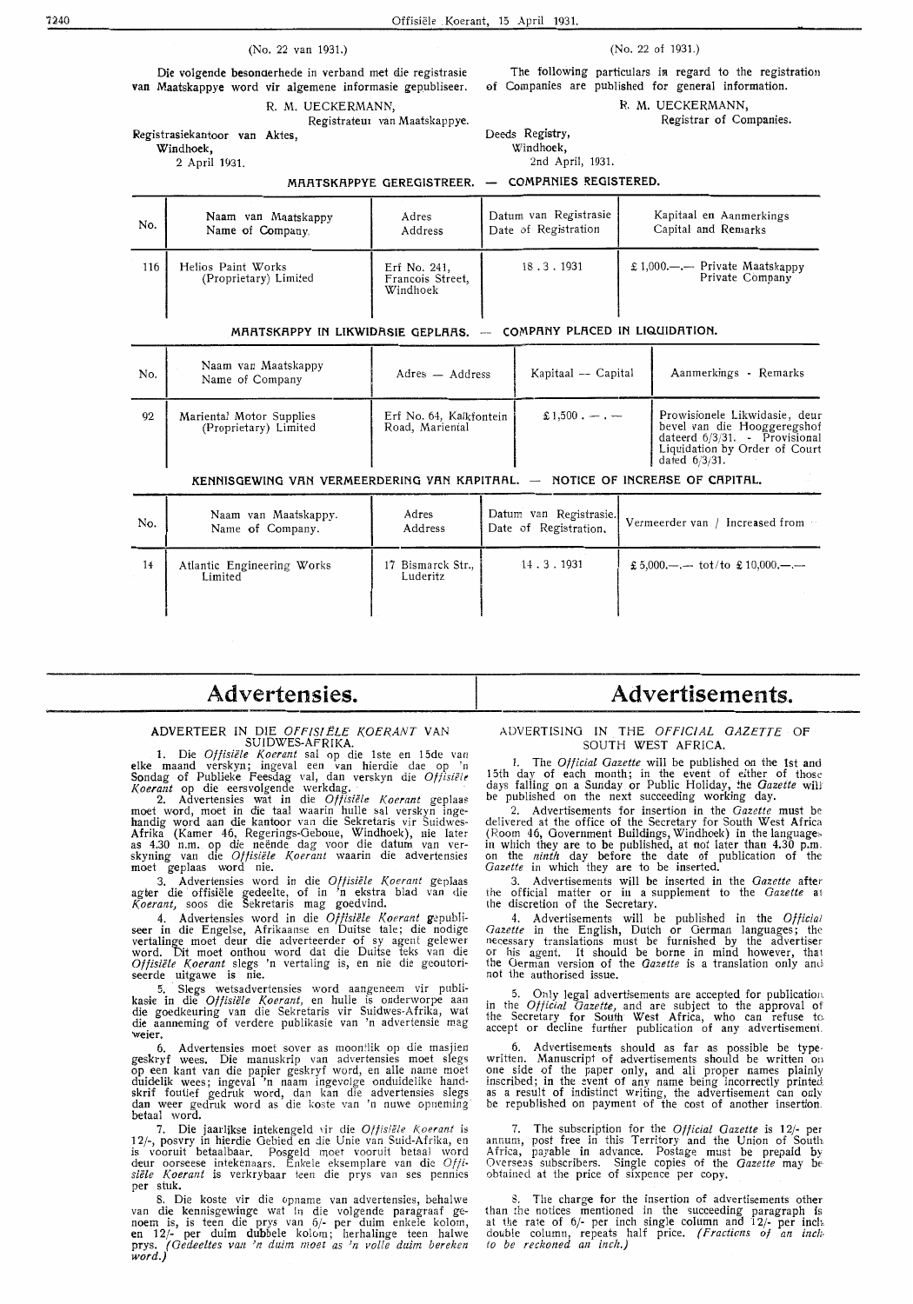|                                                                                                                                                  | (No. 22 van 1931.)                                                                                                    |                                                           | (No. 22 of 1931.)                               |                                                                                  |  |                                                                                                                                                    |
|--------------------------------------------------------------------------------------------------------------------------------------------------|-----------------------------------------------------------------------------------------------------------------------|-----------------------------------------------------------|-------------------------------------------------|----------------------------------------------------------------------------------|--|----------------------------------------------------------------------------------------------------------------------------------------------------|
|                                                                                                                                                  | Die volgende besonderhede in verband met die registrasie<br>van Maatskappye word vir algemene informasie gepubliseer. |                                                           |                                                 |                                                                                  |  | The following particulars in regard to the registration<br>of Companies are published for general information.                                     |
| R. M. UECKERMANN,<br>Registrateur van Maatskappye.<br>Registrasiekantoor van Aktes,<br>Windhoek,<br>2 April 1931.<br>MAATSKAPPYE GEREGISTREER. - |                                                                                                                       |                                                           |                                                 | Deeds Registry,<br>Windhoek,<br>2nd April, 1931.<br><b>COMPANIES REGISTERED.</b> |  | R. M. UECKERMANN,<br>Registrar of Companies.                                                                                                       |
| No.                                                                                                                                              | Naam van Maatskappy<br>Name of Company.                                                                               | Adres<br>Address                                          |                                                 | Datum van Registrasie<br>Date of Registration                                    |  | Kapitaal en Aanmerkings<br>Capital and Remarks                                                                                                     |
| $-116$                                                                                                                                           | Helios Paint Works<br>(Proprietary) Limited                                                                           | 18.3.1931<br>Erf No. 241,<br>Francois Street,<br>Windhoek |                                                 | £1,000.--.- Private Maatskappy<br>Private Company                                |  |                                                                                                                                                    |
| MARTSKAPPY IN LIKWIDASIE GEPLAAS. - COMPANY PLACED IN LIQUIDATION.                                                                               |                                                                                                                       |                                                           |                                                 |                                                                                  |  |                                                                                                                                                    |
| No.                                                                                                                                              | Naam van Maatskappy<br>Name of Company                                                                                | Adres - Address                                           |                                                 | Kapitaal -- Capital                                                              |  | Aanmerkings - Remarks                                                                                                                              |
| 92                                                                                                                                               | Mariental Motor Supplies<br>(Proprietary) Limited                                                                     | Road, Mariental                                           | £1,500. $-$ . $-$<br>Erf No. 64, Kalkfontein    |                                                                                  |  | Prowisionele Likwidasie, deur<br>bevel van die Hooggeregshof<br>dateerd 6/3/31. - Provisional<br>Liquidation by Order of Court<br>dated $6/3/31$ . |
|                                                                                                                                                  | KENNISGEWING VAN VERMEERDERING VAN KAPITAAL. - NOTICE OF INCREASE OF CAPITAL.                                         |                                                           |                                                 |                                                                                  |  |                                                                                                                                                    |
| No.                                                                                                                                              | Naam van Maatskappy.<br>Name of Company.                                                                              | Adres<br>Address                                          | Datum van Registrasie.<br>Date of Registration. |                                                                                  |  | Vermeerder van / Increased from                                                                                                                    |
| 14                                                                                                                                               | Atlantic Engineering Works<br>Limited                                                                                 | 17 Bismarck Str.,<br>Luderitz                             | 14.3.1931                                       |                                                                                  |  | $$5,000$ ,-.- tot/to $$10,000$ ,-.-                                                                                                                |
|                                                                                                                                                  |                                                                                                                       |                                                           |                                                 |                                                                                  |  |                                                                                                                                                    |

## **Advertensies.**

## ADVERTEER IN DIE *OFF/SI ELE KOER.ANT* VAN

SUIDWES-AFRIKA. 1. Die *Offisiele Koerant* sal op die lste en 15de van elke maand verskyn; ingeval een van hierdie dae op 'n Sondag of Publieke Feesdag val, dan verskyn die *Otfisiefr Koerant* op die eersvolgende werkdag. · 2. Advertensies wat in die *Offisiele Koerant* geplaas

moet word, moet in die taal waarin hulle sal verskyn ingehandig word aan die kantoor van die Sekretaris vir Suidwes-Afrika (Kamer 46, Regerings-Geboue, Windhoek), nie later as 4.30 n.m. op die neende dag voor die datum van ver- skyning van die *Offisiele K.oerant* waarin die advertensies moet geplaas word nie.

3. Adveriensies word in die *0/fisiele Koerant* geplaas agter die offisiële gedeelte, of in 'n ekstra blad van die *Koerant,* soos die Sekretaris mag goedvind.

4. Adverfensies word in die *Olfisiele Koerant* gepubli- seer in die Engelse, Afrikaanse en Duitse tale; die nodige vertalinge moet deur die adverteerder of sy agent gelewer word. Dit moet onthou word dat die Duitse teks van die *Offisiele Koerant* slegs 'n vertaling is, en nie die geoutoriseerde uitgawe is nie.

5. Slegs wetsadvertensies word aangeneem vir publikasie in die *Offisiële Koerant*, en hulle is onderworpe aan die goedkeuring van die Sekretaris vir Suidwes-Afrika, wat die aanneming of verdere publikasie van 'n advertensie mag weier.

6. Advertensies moet sover as moontlik op die masjien geskryf wees. Die manuskrip van advertensies moet slegs op een kant van die papier geskryf word, en alle name moet duidelik wees; ingeval 'n naam ingevolge onduidelike handskrif foutief gedruk word, dan kan die advertensies slegs dan weer gedruk word as die koste van 'n nuwe opneming' betaal word.

7. Die jaarlikse intekengeld vir die *Offisiele f(oerant* is 12/-, posvry in hierdie Gebied en die Unie van Suid-Afrika, en is vooruit betaalbaar. Posgeld moet vooruit betaal word deur oorseese intekenaars. Enkele eksemplare van die *Ofiisiele Koerant* is verkrybaar teen die prys van ses pennies

per stuk.<br>8. Die koste vir die opname van advertensies, behalwe 8. Die koste vir die opname van advertensies, behalwe van die kennisgewinge wat in die volgende paragraaf ge-<br>noem is, is teen die prys van 6/- per duim enkele kolom, en 12/- per duim dubbele kolom; herhalinge teen halwe prys. *(Gedeeltes van 'n duim moet as 'n votle duim bereken word.)* 

## **Advertisements.**

#### ADVERTISING IN THE *OFFICIAL GAZETTE* OF SOUTH WEST AFRICA.

The *Official Gazette* will be published on the 1st and 15th day of each month; in the event of either of those days falling on a Sunday or Public Holiday, the *Gazette* will' be published on the next succeeding working day.

2. Advertisements for insertion in the *Gazette* must be delivered at the office of the Secretary for South West Africa (Room 46, Government Buildings, Windhoek) in the language~ in which they are to be published, at not later than 4.30 p.m. on the *ninth* day before the date of publication of the *Gazette* in which they are to be inserted.

3. Advertisements will be inserted in the *Gazette* after official matter or in a supplement to the *Gazette* at the discretion of the Secretary.

4. Advertisements will be published in the *Official Gazette* in the English, Dutch or German languages; the necessary translations must be furnished by the advertiser or his agent. It should be borne in mind however, that the German version of the *Gazette* is a translation only and not the authorised issue.

5. Only legal advertisements are accepted for publication in the *Official Gazette,* and are subject *to* the approval of the Secretary for South West Africa, who can refuse to. accept or decline further publication of any advertisemeni.

6. Advertisements should as far as possible be typewritten. Manuscript of advertisements should be written on one side of the paper only, and all proper names plainly inscribed; in the event of any name being incorrectly printed as a result of indistinct writing, the advertisement can only he republished on payment of the cost of another insertion.

7. The subscription for the *Official Gazette* is 12/- per annum, post free in this Territory and the Union of South Africa, payable in advance. Postage must be prepaid by Overseas subscribers. Single copies of the *Gazette* may be obtained at the price of sixpence per copy.

8. The charge for the insertion of advertisements other than the notices mentioned in the succeeding paragraph is at the rate of 6/- per inch single column and 12/- per inch. double column, repeats half price. *(Fractions of an inch* lo *be reckoned an inch.)*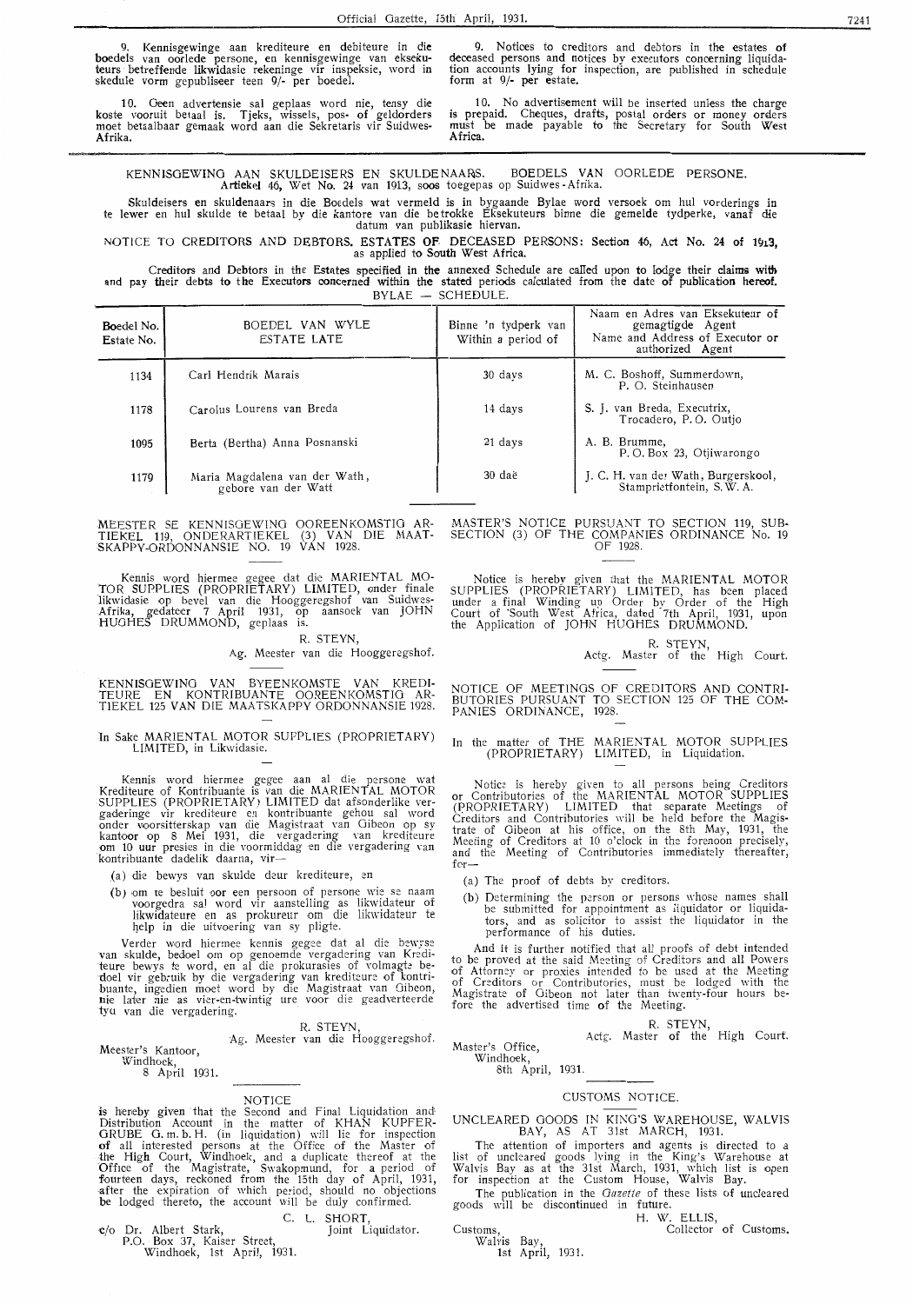9. Kennisgewinge aan krediteure en debiteure in die boedels van oorlede persone, en kennisgewinge van eksekuteurs betreffende likwidasie rekeninge vir inspeksie, word in skedule vorm gepubliseer teen 9/- per boedel.

10. Geen advertensie sal geplaas word nie, tensy **die**  koste vooruit betaal is. Tjeks, wissels, pos- of geldorders moet betaalbaar gemaak word aan die Sekretaris vir Suidwes-**Afrika.** 

9. Notices to creditors and debtors in the estates **of**  deceased persons and notices by executors concerning liquidation accounts lying for inspection, are published in schedule form at 9/- per estate.

10. No advertisement will be inserted unless the charge is prepaid. Cheques, drafts, postal orders or money orders must be made payable to the Secretary for South West Africa.

KENN1SGEWING AAN SKULDEISERS EN SKULDENAARS. BOEDELS VAN OORLEDE PERSONE. Artiekel 46, Wet No. 24 van 1913, soos toegepas op Suidwes -Afrika.

Skuldeisers en skuldenaars in die Boedels wat vermeld is in bygaande Bylae word versoek om hul vorderings in te !ewer en hul skulde te betaal by die kantore van die be trokke Eksekuteurs binne die gernelde tydperke, vanaf die datum van publikasie hiervan.

NOTICE TO CREDITORS AND DEBTORS. ESTATES OF DECEASED PERSONS: Section 46, Act No. 24 of 1913, as applied to South West Africa.

Creditors and Debtors in the Estates specified in the annexed Schedule are called upon to lodge their claims with and pay their debts to the Executors concerned within the stated periods calculated from the date of publication hereof.  $BYLAE$   $-$  SCHEDULE.

| Boedel No.<br>Estate No. | BOEDEL VAN WYLE<br>ESTATE LATE                       | Binne 'n tydperk van<br>Within a period of | Naam en Adres van Eksekuteur of<br>gemagtigde Agent<br>Name and Address of Executor or<br>authorized Agent |
|--------------------------|------------------------------------------------------|--------------------------------------------|------------------------------------------------------------------------------------------------------------|
| 1134                     | Carl Hendrik Marais                                  | 30 days                                    | M. C. Boshoff, Summerdown,<br>P. O. Steinhausen                                                            |
| 1178                     | Carolus Lourens van Breda                            | 14 days                                    | S. J. van Breda, Executrix,<br>Trocadero, P.O. Outjo                                                       |
| 1095                     | Berta (Bertha) Anna Posnanski                        | 21 days                                    | A. B. Brumme,<br>P.O.Box 23, Otiiwarongo                                                                   |
| 1179                     | Maria Magdalena van der Wath,<br>gebore van der Watt | 30 daë                                     | J. C. H. van der Wath, Burgerskool,<br>Stamprietfontein, S. W. A.                                          |

MEESTER SE KENNISGEWING OOREENKOMSTIO AR-TIEKEL 119, ONDERA RTIEKEL (3) VAN DIE MAAT-SKAPPY-ORDONNANSIE NO. 19 VAN 1928.

Kennis word hiermee gegee dat die MARIENTAL MO-TOR SUPPLIES (PROPRIETARY) LIMITED, onder finale 'likwidasie op bevel van die Hooggeregshof van Suidwes-Afrika, gedateer 7 April 1931, op aansoek van JOHN HUGHES DRUMMOND, geplaas is.

> R. STEYN, Ag. Meester van die Hooggeregshof.

KENNISGEWING VAN BYEENKOMSTE VAN KREDI-TEURE EN KONTRIBUANTE OOREENKOMSTIG AR-TIEKEL 125 VAN DIE MAATSKAPPY ORDONNANSIE 1928.

In Sake MARIENTAL MOTOR SUPPLIES (PROPRIETARY) **LIMITED,** in Likwidasie.

Kennis word hiermee gegee aan al die persone wat Krediteure of Kontribuante is van die MARIENTAL MOTOR SUPPLIES (PROPRIETARY) LIMITED dat afsonderlike ver-<br>gaderinge vir krediteure en kontribuante gehou sal word onder voorsitterskap van die Magistraat van Gibeon op sy kanto**or op** 8 Mei 1931, die vergadering van krediteure<br>om 10 uur presies in die voormiddag en die vergadering van<br>kontribuante dadelik daarna, vir--

,(a) die bewys van skulde deur krediteure, en

(b) om te besluit oor een persoon of persone wie se naam voorgedra sal word vir aanstelling as likwidateur of likwidateure en as prokureur om die likwidateur te help in die uitvoering van sy pligte.

Verder word hiermee kennis gegee dat al die bewyse Van skulde, bedoel om op genoernde vergadering van Kredi- ·teure bewys te word, en al die prokurasies of volmagte bedoel vir gebruik by die vergadering van krediteure of kontribuante, ingedien moet wmd by die Magistraat van Oibeon, **nie** later nie as vier-en-'iwintig ure voor die geadverteerde tya van die vergadering.

R. STEYN,

Ag. Meester van die Hooggeregshof.

Windhoek, 8 April 1931.

Meester's Kantoor,

### NOTICE

is hereby given that the Second and Final Liquidation and: Distribution Account in the matter of KHAN KUPFER-GRUBE G. m. b. H. (in liquidation) will lie for inspection **of** all interested persons at the Office of the Master of the High Court, Windhoek, and a duplicate thereof at the Office of the Magistrate, Swakoprnund, for a period of fourteen days, reckoned from the 15th day of April, 1931, after the expiration of which period, should no objections be lodged thereto, the account will be duly confirmed.

C. L. SHORT,<br>
yoint Liquidator.<br>
Joint Liquidator.

P.O. Box 37, Kaiser Street, Windhoek, 1st April, 1931.

1st April, 1931.

H. W. ELLIS,<br>
Customs,<br>
Collector of Customs.

R. STEYN,<br>Actg. Master of the High Court.

NOTICE OF MEETINGS OF CREDITORS AND CONTRI-BUTORIES PURSUANT TO SECTION 125 OF THE COM-PANIES ORDINANCE, 1928.

MASTER'S NOTICE PURSUANT TO SECTION 119, SUB· SECTION (3) OF THE COMPANIES ORDINANCE No. 19 OF 1928.

Notice is hereby given that the MARIENTAL MOTOR SUPPLIES (PROPRIETARY) LIMITED, has been placed under a final Winding up Order by Order of the High Court of 'South West Africa, dated 7th April, 1931, upon the Application of JOHN HUGHES DRUMMOND.

#### In the matter of THE MARIENTAL MOTOR SUPPLIES (PROPRIETARY) LIMITED, in Liquidation.

Notice is hereby given to all persons being Creditors or Contributories of the MARIENTAL MOTOR SUPPLIES (PROPRIETARY) LIMITED that separate Meetings of Creditors and Contributories will be held before the Magis-trate of Oibeon at his office, on the 8th May, 1931, the Meeting of Creditors at 10 o'clock in the forenoon precisely, and the Meeting of Contributories immediately the reafter, for-

( a) The proof of debts by creditors.

(b) Determining the person or persons whose names shall be submitted for appointment as liquidator or liquidators, and as solicitor to assist the liquidator in the performance of his duties.

And it is further notified that all proofs of debt intended to be proved at the said Meeting of Creditors and all Powers of Attorney or proxies intended to be used at the Meeting of Creditors or Contributories, must be lodged with the Magistrate of Gibeon not later than twenty-four hours before the advertised time of the Meeting.

R. STEYN,

Actg. Master of the High Court.

Master's Office,<br>Windhoek, 8th April, 1931.

#### CUSTOMS NOTICE.

UNCLEARED GOODS IN KING'S WAREHOUSE, WALVIS BAY, AS AT 31st MARCH, 1931.

The attention of importers and agents is directed to a list of uncleared goods lying in the King's Warehouse at Walvis Bay as at the 31st March, 1931, which list is open for inspection at the Custom House, Walvis Bay.

The publication in the *Gazette* of these lists of uncleared goods will be discontinued in future.

Customs,<br>Walvis Bay,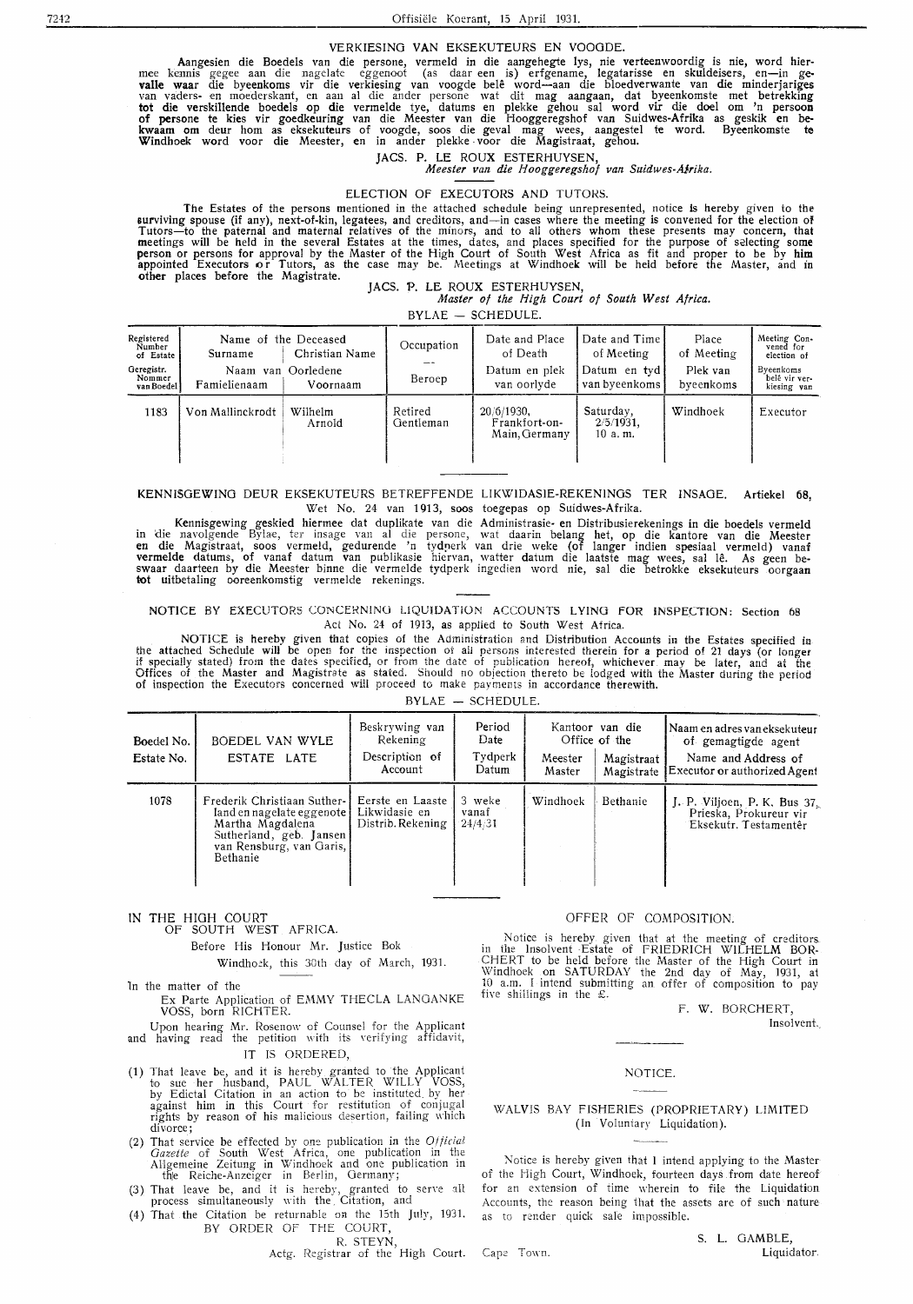## 7242 Offisiele Koerant, 15 April 1931.

#### VERKIESINO **VAN** EKSEKUTEURS EN VOOODE.

Aangesien die Boedels van die persone, venneld in die aangehegte lys, nie verteenwoordig is nie, word hier- mee kennis gegee aan die nagelate eggenoot (as daar een is) erfgename, legatarisse en skuldeisers, en-in ge**valle waa**r die byeenkoms vir die verkiesing van voogde belê word-aan die bloedverwante van die minderjariges<br>van vaders- en moederskant, en aan al die ander persone wat dit mag aangaan, dat byeenkomste met betrekking tot die verskillende boedels op die vennelde tye, datums en plekke gehou sal word vir die doe! om 'n persoon of persone te kies vir goedkeuring van die Meester van die Hooggeregshof van Suidwes-Afrika as geskik en bekwaam om deur horn as eksekuteurs of voogde, soos die geval mag wees, aangestel te word. Byecnkomste te Windhoek word voor die Meester, en in antler plekke -voor die Magistraat, gehou.

#### JACS. P. LE ROUX ESTERHUYSEN,

*Meester van die Hooggeregshof van Suidwes-Airika.* 

#### ELECTION OF EXECUTORS AND TUTORS.

The Estates of the persons mentioned in the attached schedule being unrepresented, notice is hereby given to the surviving spouse (if any), next-of-kin, legatees, and creditors, and-in cases where the meeting is convened for the election of Tutors-to the paternal and maternal relatives of the minors, and to all others whom these presents may concern, that meetings will be held in the several Estates at the times, dates, and places specified for the purpose of selecting some<br>person or persons for approval by the Master of the High Court of South West Africa as fit and proper appointed Executors or Tutors, as the case may be. Meetings at Windhoek will be held before the Master, and in other places before the Magistrate.

#### JACS. P. LE ROUX ESTERHUYSEN, *Master of the High Court of South West Africa.*

 $BYLAE$  - SCHEDULE.

| Registered<br>Number<br>of Estate  | Surname          | Name of the Deceased<br>Christian Name | Occupation           | Date and Place<br>of Death                   | Date and Time<br>of Meeting         | Place<br>of Meeting   | Meeting Con-<br>vened for<br>election of  |
|------------------------------------|------------------|----------------------------------------|----------------------|----------------------------------------------|-------------------------------------|-----------------------|-------------------------------------------|
| Geregistr.<br>Nommer<br>van Boedel | Famielienaam     | Naam van Oorledene<br>Voornaam         | Beroep               | Datum en plek<br>van oorlyde                 | Datum en tyd<br>van byeenkoms       | Plek van<br>byeenkoms | Byeenkoms<br>belê vir ver-<br>kiesing van |
| 1183                               | Von Mallinckrodt | Wilhelm<br>Arnold                      | Retired<br>Gentleman | 20/6/1930.<br>Frankfort-on-<br>Main, Germany | Saturday,<br>$2/5/1931$ ,<br>10a.m. | Windhoek              | Executor                                  |

#### KENNISGEWINO DEUR EKSEKUTEURS BETREFFENDE L!KWIDASIE-REKENINGS TER INSAOE. Artiekel 68, Wet No. 24 van 1913, soos toegepas op Suidwes-Afrika.

Kennisgewing geskied hiermee dat duplikate van die Administrasie- en Distribusierekenings in die boedels vermeld in 'die navolgende Bylae, ter insage van al die persone, wat daarin belang het, op die kantore van die Meester<br>en die Magistraat, soos vermeld, gedurende 'n tydperk van drie weke (of langer indien spesiaal vermeld) vanaf vermelde datums, of vanaf datum van publikasie hiervan, watter datum die laatste mag wees, sal lê. As geen be-<br>swaar daarteen by die Meester binne die vermelde tydperk ingedien word nie, sal die betrokke eksekuteurs oorgaa **tot** uitbetaling ooreenkomstig vermelde rekenings.

#### NOTICE BY EXECUTORS CONCERNING LIQUIDATION ACCOUNTS LYING FOR INSPECTION: Section 68 Act No. 24 of 1913, as applied to South West Africa.

NOTICE is hereby given that copies of the Administration and Distribution Accounts in the Estates specified in the attached Schedule will be open for the inspection of all persons interested therein for a period of 21 days (or longer if specially stated) from the dates specified, or from the date of publication hereof, whichever\_ may be later, and at the Offices of the Master and Magistrate as stated. Should no objection thereto be lodged with the Master during the period of inspection the Executors concerned will proceed to make payments in accordance therewith.

#### BYLAE - SCHEDULE.

| Boedel No.<br>Estate No. | BOEDEL VAN WYLE<br>ESTATE LATE                                                                                                                   | Beskrywing van<br>Rekening<br>Description of<br>Account | Period<br>Date<br>Tydperk<br>Datum | Meester<br>Master | Kantoor van die<br>Office of the<br>Magistraat | Naam en adres van eksekuteur<br>of gemagtigde agent<br>Name and Address of<br>Magistrate Executor or authorized Agent |
|--------------------------|--------------------------------------------------------------------------------------------------------------------------------------------------|---------------------------------------------------------|------------------------------------|-------------------|------------------------------------------------|-----------------------------------------------------------------------------------------------------------------------|
| 1078                     | Frederik Christiaan Suther-1<br>land en nagelate eggenote<br>Martha Magdalena<br>Sutherland, geb. Jansen<br>van Rensburg, van Garis,<br>Bethanie | Eerste en Laaste<br>Likwidasie en<br>Distrib. Rekening  | 3 weke<br>vanaf<br>24/4/31         | Windhoek          | Bethanie                                       | J. P. Viljoen, P. K. Bus 37.<br>Prieska, Prokureur vir<br>Eksekutr. Testamentêr                                       |

## IN THE HIGH COURT<br>OF SOUTH WES

## SOUTH WEST AFRICA.

Before His Honour Mr. Justice Bok Windhoek, this 30th day of March, 1931.

ln the matter of the Ex Parte Application of EMMY THECLA LANGANKE VOSS, born RICHTER.

Upon hearing Mr. Rosenow of Counsel for the Applicant

and having read the petition with its verifying affidavit, IT IS ORDERED,

- (1) That leave be, and it is hereby granted to the Applicant to sue her husband, PAUL WALTER WILLY VOSS, by Edictal Citation in an action to· be instituted\_ by her against him in this Court for restitution of conjugal rights by reason of his malicious desertion, failing which divorce;
- (2) That service be effected by one publication in the *Official Gazette* of South West Africa, one publication in the Allgemeine Zeitung in Windhoek and one publication in the Reiche-Anzeiger in Berlin, Germany;
- (3) That leave be, and it is hereby, granted to serve all process simultaneously with the Citation, and
- (4) That the Citation be returnable on the 15th July, 1931. BY ORDER OF THE COURT,

R. STEYN, Actg. Registrar of the High Court.

#### Cape Town.

#### OFFER OF COMPOSITION.

Notice is hereby. given that at the meeting of creditors. in the Insolvent Estate of FRIEDRICH WILHELM BOR-CHERT to be held before the Master of the High Court in Windhoek on SATURDAY the 2nd day of May, 1931, at 10 a.m. I intend submitting an offer of composition to pay five shillings in the  $\mathcal{L}$ .

F. W. BORCHERT,

#### Insolvent.

#### NOTICE.

#### WALVIS BAY FISHERIES (PROPRIETARY) LIMITED (In Voluntary Liquidation).

Notice is hereby given that I intend applying to the Masterof the High Court, Windhoek, fourteen days from date hereof for an extension of time wherein to file the Liquidation Accounts, the reason being that the assets are of such nature as to render quick sale impossible.

> S. L. GAMBLE, Liquidator.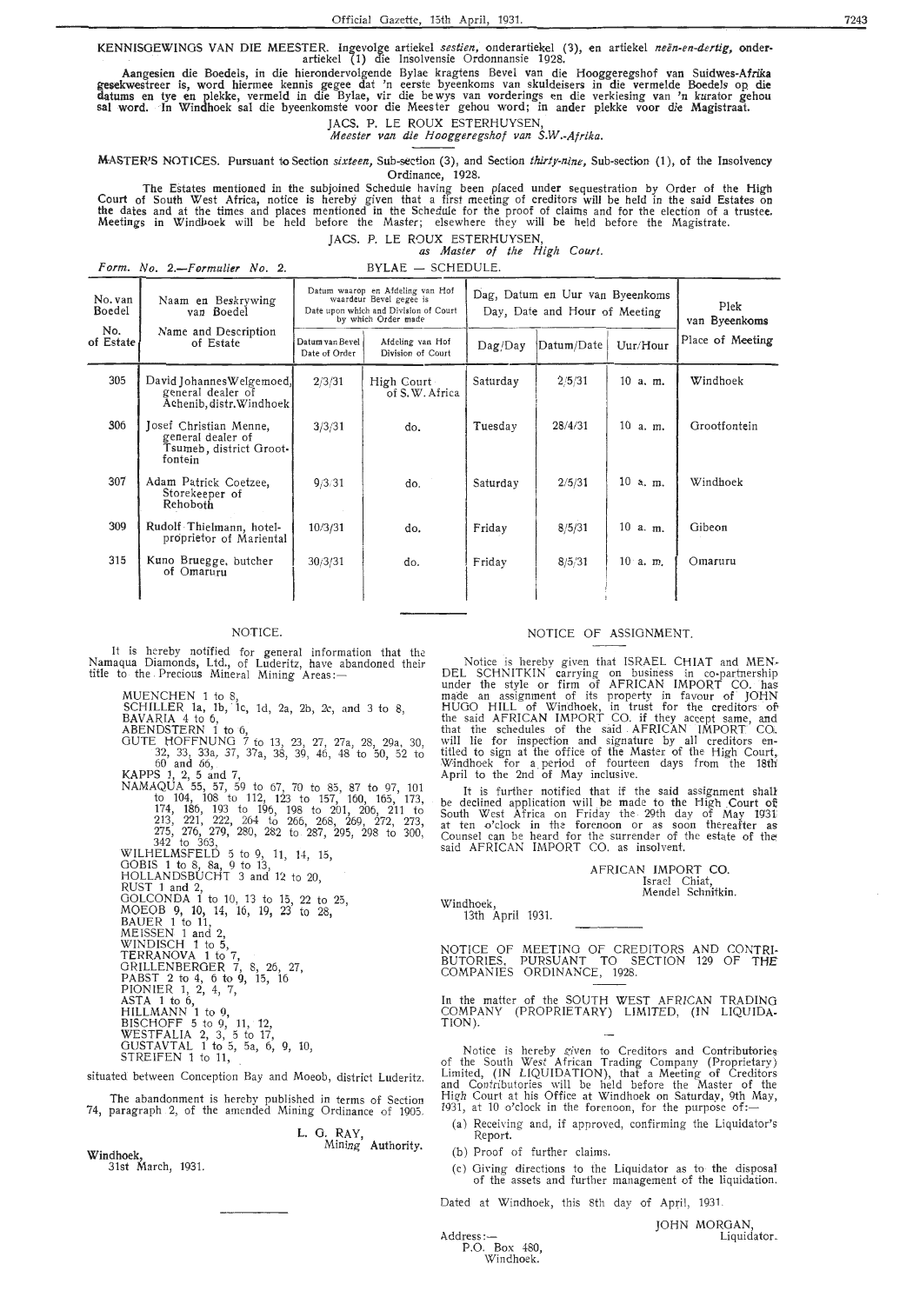KENNISGEWINGS VAN DIE MEESTER. Ingevolge artiekel *sestien,* onderartiekel (3), en artiekel *neen-en-dertig,* onder• • artiekel (1) die Insoivensie Ordonnansie 1928.

Aangesien die Boedels, in die hierondervolgende Bylae kragtens Bevel van die Hooggeregshof van Suidwes-Afrika gesekwestreer is, word hiermee kennis gegee dat 'n eerste byeenkoms van skuldeisers in die vermelde Boedels op, **die**  datums en tye en plekke, vermeld in die Bylae, vir die bewys van vorderings en die verkiesing van 'n kurator gehou sal word. In Windhoek sal die byeenkomste voor die Meester gehou word; in ander plekke voor die Magistraat.

JAGS. P. LE ROUX ESTERHUYSEN, *Meester van die Hooggeregsho/ van S.W.-A/rika.* 

MASTER'S NOTICES. Pursuant to Section *sixteen*, Sub-section (3), and Section *thirty-nine*, Sub-section (1), of the Insolvency Ordinance, 1928.

The Estates mentioned in the subjoined Schedule having been placed under sequestration by Order of the High Court of South West Africa, notice is hereby given that a first meeting of creditors will be held in the said Estates on<br>the dates and at the times and places mentioned in the Schedule for the proof of claims and for the e Meetings in Windl>oek will be held before the Master; elsewhere they will be held before the Magistrate.

JACS. P. LE ROUX ESTERHUYSEN, *as Master of the High Court.* 

 $Form. No. 2. - Formulier No. 2.$  BYLAE - SCHEDULE.

| No. van<br>Naam en Beskrywing<br>Boedel<br>van Boedel |                                                                                    | Datum waarop en Afdeling van Hof<br>waardeur Bevel gegee is<br>Date upon which and Division of Court<br>by which Order made |                                       | Dag, Datum en Uur van Byeenkoms<br>Day, Date and Hour of Meeting |            |            | Plek<br>van Byeenkoms |
|-------------------------------------------------------|------------------------------------------------------------------------------------|-----------------------------------------------------------------------------------------------------------------------------|---------------------------------------|------------------------------------------------------------------|------------|------------|-----------------------|
| of Estate                                             | No.<br>Name and Description<br>of Estate                                           | Datum van Bevel<br>Date of Order                                                                                            | Afdeling van Hof<br>Division of Court | $\text{Dag}/\text{Day}$                                          | Datum/Date | Uur/Hour   | Place of Meeting      |
| 305                                                   | David JohannesWelgemoed,<br>general dealer of<br>Achenib, distr. Windhoek          | 2/3/31                                                                                                                      | High Court<br>of S.W. Africa          | Saturday                                                         | 2/5/31     | 10a. m.    | Windhoek              |
| 306                                                   | Josef Christian Menne,<br>general dealer of<br>Tsumeb, district Groot- <br>fontein | 3/3/31                                                                                                                      | do.                                   | Tuesday                                                          | 28/4/31    | 10 a.m.    | Grootfontein          |
| 307                                                   | Adam Patrick Coetzee,<br>Storekeeper of<br>Rehoboth                                | 9/3/31                                                                                                                      | do.                                   | Saturday                                                         | 2/5/31     | $10$ a.m.  | Windhoek              |
| 309                                                   | Rudolf Thielmann, hotel-<br>proprietor of Mariental                                | 10/3/31                                                                                                                     | do.                                   | Friday                                                           | 8/5/31     | $10$ a.m.  | Gibeon                |
| 315                                                   | Kuno Bruegge, butcher<br>of Omaruru                                                | 30/3/31                                                                                                                     | do.                                   | Friday                                                           | 8/5/31     | $10$ a. m. | Omaruru               |

#### NOTICE.

It is hereby notified for general information that the Namaqua Diamonds, Ltd., of Luderitz, have abandoned their<br>title to the Precious Mineral Mining Areas:—

MUENCHEN 1 to 8,

 $SCHILLER$  1a, 1b, 1c, 1d, 2a, 2b, 2c, and 3 to 8, BAVARIA 4 *to* 6,

ABENDSTERN 1 to 6,

- GUTE HOFFNUNG 7 *to* 13, 23, 27, 27a, 28, 29a, 30, 32, 33, 33a, 37, 37a, 38, 39, 46, 48 *to* 50, 52 to 60 and 66,
- KAPPS 1, 2, 5 and 7, NAMAQUA 55, 57, 59 to 67, 70 to 85, 87 to 97, 101 to 104, 108 to 112, 123 to 157, 160, 165, 173, 174, 186, 193 to 196, 198 to 201, 206, 211 to 213, 221, 222, 264 to 266, 268, 269, 272, 273, 275, 276, 279, 280, 282 to 287, 295, 298 to 300,<br>342 to 363,<br>WILHELMSFELD 5 to 9, 11, 14, 15,<br>GOBIS 1 to 8, 8a, 9 to 13, HOLLANDSBUCHT 3 and 12 to 20,
- RUST 1 and 2, GOLCONDA 1 to 10, 13 to 15, 22 to 25, MOEOB 9, 10, 14, 16, 19, 23 to 28, BAUER **1** to **11,**  ME ISSEN 1 and 2, WINDISCH 1 to 5, TERRANOVA **1** fo 7, GRILLENBERGER 7, 8, 26, 27, PABST 2 to 4, 6 to 9, 15, 16 P!ONIER 1, 2, 4, 7, ASTA 1 *to* 6, HILLMANN 1 to 9,

BISCHOFF 5 to 9, 11, 12, WESTFALIA 2, 3, 5 to 17, GUSTAVTAL 1 to 5, Sa, 6, 9, 10,

STREIFEN 1 to 11,

situated between Conception Bay and Moeob, district Luderitz.

The abandonment is hereby published in terms of Section **74,** paragraph 2, of the amended Mining Ordinance of 1905.

L. G. RAY, **Authority**.

**Windhoek, Mining Authority.** 

31st March, 1931.

#### NOTICE OF ASSIGNMENT.

Notice is hereby given that ISRAEL CHIAT and MEN-DEL SCHNITKIN carrying on business in co-partnership under the style or firm of AFRICAN IMPORT CO. has made an assignment of its property in favour of JOHN<br>HUGO HILL of Windhoek, in trust for the creditors of<br>the said AFRICAN IMPORT CO. if they accept same, and that the schedules of the said AFRICAN IMPORT CO. will lie for inspection and signature by all creditors en-<br>titled to sign at the office of the Master of the High Court,<br>Windhoek for a period of fourteen days from the 18th April to the 2nd of May inclusive.

It is further notified that if the said assignment shall be declined application will be made to the High Court of<br>South West Africa on Friday the 29th day of May 1931 at ten o'clock **in** the forenoon or as soon thereafter as Counsel can be heard for the surrender of the estate of the' said AFRICAN IMPORT CO. as insolvent.

#### AFRICAN IMPORT CO. Israel Chiat,

Mendel Schnitkin.

Windhoek, 13th April 1931.

NOTICE OF MEETING OF CREDITORS AND CONTRI- BUTORIES, PURSUANT TO SECTION 129 OF THE COMPANIES ORDINANCE, 1928.

In the matter of the SOUTH WEST AFRICAN TRADING COMPANY (PROPRIETARY) LIMITED, (IN LIQUIDA-TION).

Notice is hereby given to Creditors and Contributories of the South West African Trading Company (Proprietary) Limited, (IN LIQUIDATION), that a Meeting of Creditors and Contributories will be held before the Master of the High Court at his Office at Windhoek on Saturday, 9th May, 1931, at 10 o'clock in the forenoon, for the purpose of:—

- (a) Receiving and, if approved, confirming the Liquidator's Report.
- (b) Proof of further claims.
- (c) Giving directions to the Liquidator as to the disposal of the assets and further management of the liquidation.

Dated at Windhoek, this 8th day of April, 1931.

7243

JOHN MORGAN, Liquidator.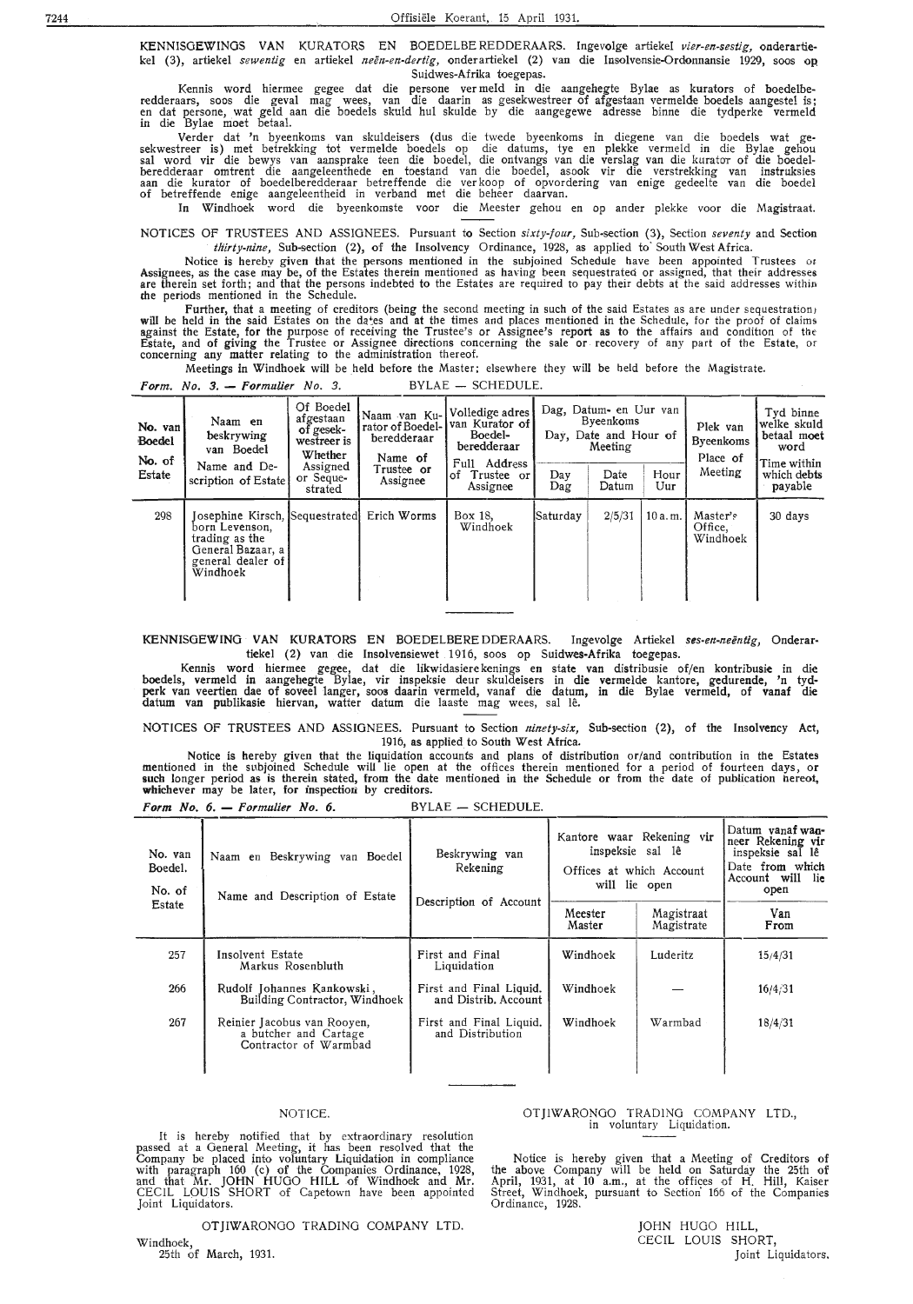KENNISGEWINGS VAN KURATORS EN BOEDELBEREDDERAARS. Ingevolge artiekel vier-en-sestig, onderartiekel (3), artiekel *sewentig* en artiekel *neën-en-dertig*, onderartiekel (2) van die Insolvensie-Ordonnansie 1929, soos op.<br>Suidwes-Afrika toegepas. Suidwes-Afrika toegepas.

Kennis word hiermee gegee dat die persone ver meld in die aangehegte Bylae as kurators of boedelberedderaars, soos die geval mag wees, van die daarin as gesekwestreer of afgestaan vermelde boedels aangestel is;<br>en dat persone, wat geld aan die boedels skuld hul skulde by die aangegewe adresse binne die tydperke vermeld in die Bylae moet betaal.

Verder dat 'n byeenkoms van skuldeisers (dus die twede byeenkoms in diegene van die boedels wat gesekwestreer is) met betrekking tot vermelde boedels op die datums, tye en plekke vermeld in die Bylae gehou sal word vir die bewys van aansprake teen die boedel, die ontvangs van die verslag van die kurator of die boedelberedderaar omtrent die aangeleenthede en toestand van die boedel, asook vir die verstrekking van instruksies<br>aan die kurator of boedelberedderaar betreffende die ver-koop of opvordering van enige gedeelte van die boedel of betreffende enige aangeleentheid in verband met die beheer daarvan.

In Windhoek word die byeenkomste voor die Meester gehou en op ander plekke voor die Magistraat.

NOTICES OF TRUSTEES AND ASSIGNEES. Pursuant to Section *sixty-four,* Sub-section (3), Section *seventy* and Section thirty-nine, Sub-section (2), of the Insolvency Ordinance, 1928, as applied to South West Africa.

Notice is hereby given that the persons mentioned in the subjoined Schedule have been appointed Trustees or<br>Assignees, as the case may be, of the Estates therein mentioned as having been sequestrated or assigned, that thei the periods mentioned in the Schedule.

Further, that a meeting of creditors (being the second meeting in such of the said Estates as are under sequestration; will be held in the said Estates on the da~es and at the times and places mentioned in the Schedule, for the proof of claims against the Estate, for the purpose of receiving the Trustee's or Assignee's report as to the affairs and condition of the Estate, and of giving the Trustee or Assignee directions concerning the sale or recovery of any part of the Estate, or<br>concerning any matter relating to the administration thereof.

Meetings in Windhoek will be held before the Master; elsewhere they will be held before the Magistrate.

Form. No.  $3.$  - Formulier No. 3. BYLAE - SCHEDULE.

| No. van<br><b>Boedel</b><br>No. of<br>Estate | Naam en<br>beskrywing<br>van Boedel<br>Name and De-<br>scription of Estate                                                 | Of Boedel<br>afgestaan<br>of gesek-<br>westreer is<br>Whether<br>Assigned<br>or Seque-<br>strated | beredderaar<br>Name of<br>Truste <b>e or</b><br>Assignee | (Naam van Ku- Volledige adres)<br>rator of Boedel- van Kurator of<br>Boedel-<br>beredderaar<br>Full Address<br>Trustee or<br>lof<br>Assignee | Dav<br>Dag | Dag, Datum- en Uur van<br>Byeenkoms<br>Day, Date and Hour of<br>Meeting<br>Date<br>Datum | Hour<br>Uur | Plek van<br><b>Byeenkoms</b><br>Place of<br>Meeting | Tyd binne<br>welke skuld<br>betaal moet<br>word<br>Time within<br>which debts<br>payable |
|----------------------------------------------|----------------------------------------------------------------------------------------------------------------------------|---------------------------------------------------------------------------------------------------|----------------------------------------------------------|----------------------------------------------------------------------------------------------------------------------------------------------|------------|------------------------------------------------------------------------------------------|-------------|-----------------------------------------------------|------------------------------------------------------------------------------------------|
| 298                                          | Josephine Kirsch,  Sequestrated <br>born Levenson,<br>trading as the<br>General Bazaar, a<br>general dealer of<br>Windhoek |                                                                                                   | Erich Worms                                              | Box 18.<br>Windhoek                                                                                                                          | Saturday   | 2/5/31                                                                                   | 10a.m.      | Master's<br>Office.<br>Windhoek                     | 30 days                                                                                  |

KENNISGEWING VAN KURATORS EN BOEDELBERE DDERAARS. Ingevolge Artiekel ses-en-neëntig, Onderartiekel (2) van die Insolvensiewet 1916, soos op Suidwes-Afrika toegepas.

Kennis word hiermee gegee, dat die likwidasiere kenings en state van distribusie of/en kontribusie in die boedels, vermeld in aangehegte Bylae, vir inspeksie deur skuldeisers in die vermelde kantore, gedurende, 'n tyd<br>perk van veertien dae of soveel langer, soos daarin vermeld, vanaf die datum, in die Bylae vermeld, of vanaf d datum van publikasie hiervan, watter datum die laaste mag wees, sal le.

NOTICES OF TRUSTEES AND ASSIGNEES. Pursuant to Section *ninety-six,* Sub-section (2), of the Insolvency Act, 1916, as applied to South West Africa.

Notice is hereby given that the liquidation accounts and plans of distribution or/and contribution in the Estates mentioned in the subjoined Schedule will lie open at the offices therein mentioned for a period of fourteen days, or<br>such longer period as is therein stated, from the date mentioned in the Schedule or from the date of publ whichever may be later, for inspection by creditors.

|  | Form No. $6.$ - Formulier No. $6.$ |  | $BYLAE$ - SCHEDULE. |
|--|------------------------------------|--|---------------------|
|--|------------------------------------|--|---------------------|

| No. van<br>Boedel.<br>No. of<br>Estate | Naam en Beskrywing van Boedel<br>Name and Description of Estate               | Beskrywing van<br>Rekening<br>Description of Account | Kantore waar Rekening vir<br>inspeksie sal lê<br>Offices at which Account<br>will lie open | Datum vanaf wan-<br>neer Rekening vir<br>inspeksie sal lê<br>Date from which<br>Account will lie<br>open |             |
|----------------------------------------|-------------------------------------------------------------------------------|------------------------------------------------------|--------------------------------------------------------------------------------------------|----------------------------------------------------------------------------------------------------------|-------------|
|                                        |                                                                               |                                                      | Meester<br>Master                                                                          | Magistraat<br>Magistrate                                                                                 | Van<br>From |
| 257                                    | Insolvent Estate<br>Markus Rosenbluth                                         | First and Final<br>Liquidation                       | Windhoek                                                                                   | Luderitz                                                                                                 | 15/4/31     |
| 266                                    | Rudolf Johannes Kankowski,<br><b>Building Contractor, Windhoek</b>            | First and Final Liquid.<br>and Distrib. Account      | Windhoek                                                                                   |                                                                                                          | 16/4/31     |
| 267                                    | Reinier Jacobus van Rooven,<br>a butcher and Cartage<br>Contractor of Warmbad | First and Final Liquid.<br>and Distribution          | Windhoek                                                                                   | Warmbad                                                                                                  | 18/4/31     |

It is hereby notified that by extraordinary resolution passed at a General Meeting, it has been resolved that the Company be placed into voluntary Liquidation in compliance with paragraph 160 (c) of the Companies Ordinance, 1928, and that Mr. JOHN HUGO HILL of Windhoek and Mr. CECIL LOUIS SHORT of Capetown have been appointed Joint Liquidators.

OTJIWARONGO TRADING COMPANY LTD.

Windhoek, 25th of March, 1931.

#### NOTICE. OTJIWARONGO TRADING COMPANY LTD., in voluntary Liquidation.

Notice is hereby given that a Meeting of Creditors of the above Company will be held on Saturday the 25th of April, 1931, at 10 a.m., at the offices of **H. Hill,** Kaiser Street, Windhoek, pursuant to Section' 166 of the Companies Ordinance, 1928.

> JOHN HUGO HILL, CECIL LOUIS SHORT, Joint Liquidators.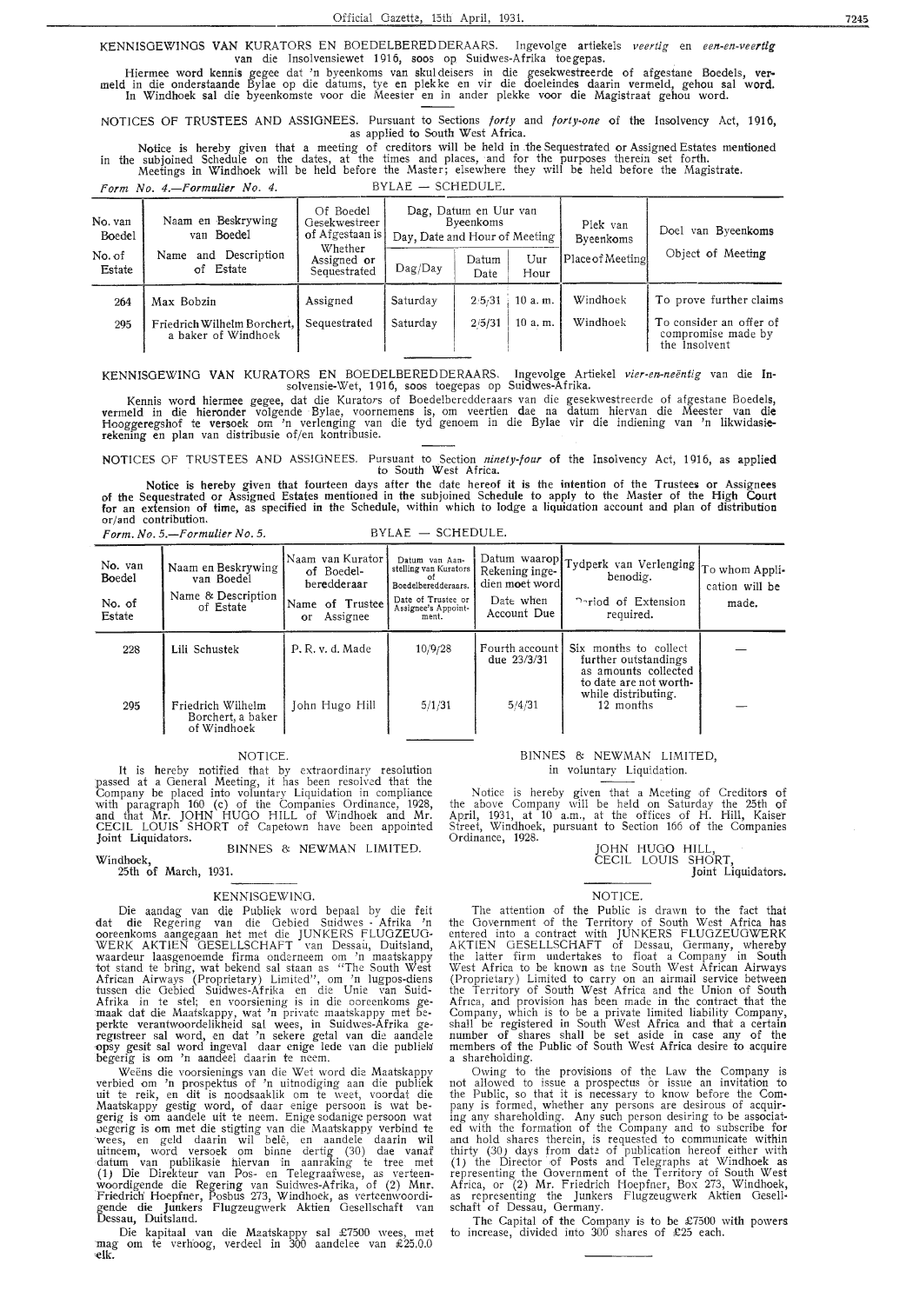KENNISOEWINOS VAN KURATORS EN BOEDELBEREDDERAARS. Ingevolge artiekels *veertig* en *een-en-veertig*  van die Insolvensiewet 1916, soos op Suidwes-Afrika toegepas.

Hiermee word kennis gegee dat 'n byeenkoms van skul deisers in die gesekwestreerde of afgestane Boedels, ver<sup>4</sup> meld in die onderstaande Bylae op die datums, tye en plekke en vir die doeleindes daarin vermeld, gehou sal word. In Windhoek sal die byeenkomste voor die Meester en in ander plekke voor die Magistraat gehou word.

NOTICES OF TRUSTEES AND ASSIGNEES. Pursuant to Sections *forty* and *forty-one* of the Insolvency Act, 1916, as applied to South West Africa.

Notice is hereby given that a meeting of creditors will be held in .the Sequestrated or Assigned Estates mentioned in the subjoined Schedule on the dates, at the times and places, and for the purposes the rein set forth. Meetings in Windhoek will be held before the Master; elsewhere they will be held before the Magistrate.

*Form No. 4.-Formulier No. 4.* BYLAE - SCHEDULE.

| No. van<br>Boedel | Naam en Beskrywing<br>van Boedel                                 | Of Boedel<br>Gesekwestreer<br>of Afgestaan is | Dag, Datum en Uur van<br><b>Byeenkoms</b><br>Day, Date and Hour of Meeting |                  |                      | Plek van<br><b>B</b> veenkoms | van Byeenkoms<br>Doel                                                                     |  |
|-------------------|------------------------------------------------------------------|-----------------------------------------------|----------------------------------------------------------------------------|------------------|----------------------|-------------------------------|-------------------------------------------------------------------------------------------|--|
| No. of<br>Estate  | Description<br>and<br>Name<br>of Estate                          | Whether<br>Assigned or<br>Sequestrated        | Dag/Day                                                                    | Datum<br>Date    | Uur<br>Hour          | l Place of Meetingl           | Object of Meeting                                                                         |  |
| 264<br>295        | Max Bobzin<br>Friedrich Wilhelm Borchert,<br>a baker of Windhoek | Assigned<br>Sequestrated                      | Saturday<br>Saturday                                                       | 2.5.31<br>2/5/31 | 10a.m.<br>$10a$ . m. | Windhoek<br>Windhoek          | To prove further claims<br>To consider an offer of<br>compromise made by<br>the Insolvent |  |
|                   |                                                                  |                                               |                                                                            |                  |                      |                               |                                                                                           |  |

KENNISOEWINO VAN KURATORS EN BOEDELBEREDDERAARS. Ingevolge Artiekel *vier-en-neentig* van die lnsolvensie-Wet, 1916, soos toegepas op Suidwes-Afrika.

Kennis word hiermee gegee, dat die Kurators of Boedelberedderaars van die gesekwestreerde of afgestane Boedels, vermeld in die hieronder volgende Bylae, voornemens is, om veertien dae na datum hiervan die Meester van die Hooggeregshof te versoek om 'n verlenging van die tyd genoem in die Bylae vir die indiening van 'n likwidasi<del>e</del>rekening en plan van distribusie of/en kontribusie.

NOTICES OF TRUSTEES AND ASSJGNEES. Pursuant to .Section *ninety-four* of the Insolvency Act, 1916, as applied to South West Africa.

Notice is hereby given that fourteen days after the date hereof it is the intention of the Trustees or Assignees of the Sequestrated or Assigned Estates mentioned in the subjoined Schedule to apply to the Master of the High Court for an extension of time, as specified in the Schedule, within which to lodge a liquidation account and plan of distribution or/and contribution.

*Form. No. 5.-Formulier No. 5.* BYLAE - SCHEDULE.

| No. van<br>Boedel<br>No. of<br>Estate | Naam en Beskrywing<br>van Boedel<br>Name & Description<br>of Estate | INaam van Kurator<br>of Boedel-<br>beredderaar<br>Name of Trustee<br>Assignee<br>or | Datum van Aan-<br>stelling van Kurators<br>Boedelberedderaars.<br>Date of Trustee or<br>Assignee's Appoint-<br>ment. | Rekening inge-<br>dien moet wordl<br>Date when<br>Account Due | Datum waarop Tydperk van Verlenging To whom Appli-<br>benodig.<br>Portiod of Extension<br>required. | cation will be<br>made. |
|---------------------------------------|---------------------------------------------------------------------|-------------------------------------------------------------------------------------|----------------------------------------------------------------------------------------------------------------------|---------------------------------------------------------------|-----------------------------------------------------------------------------------------------------|-------------------------|
| 228                                   | Lili Schustek                                                       | P. R. v. d. Made                                                                    | 10/9/28                                                                                                              | Fourth account<br>due 23/3/31                                 | Six months to collect<br>further outstandings<br>as amounts collected<br>to date are not worth-     |                         |
| 295                                   | Friedrich Wilhelm<br>Borchert, a baker<br>of Windhoek               | John Hugo Hill                                                                      | 5/1/31                                                                                                               | 5/4/31                                                        | while distributing.<br>12 months                                                                    |                         |

#### NOTICE.

It is hereby notified that by extraordinary resolution passed at a General Meeting, it has been resolved that the Company be placed into voluntary Liquidation in compliance with paragraph 160 (c) of the Companies Ordinance, 1928, and that Mr. JOHN HUGO HILL of Windhoek and Mr. CECIL LOUIS SHORT of Capetown have been appointed

Joint Liquidators.<br>BINNES & NEWMAN LIMITED.

**Windhoek,**  25th of March, 1931.

#### KENN!SGEWING,

Die aandag van die Publiek word bepaal by die feit dat die Regering van die Gebied Suidwes - Afrika 'n ooreenkoms aangegaan het met die JUNKERS FLUGZEUG-WERK AKTIEN GESELLSCHAFT van Dessau, Duitsland, waardeur laasgenoemde firma onderneem om 'n maatskappy tot stand te bring, wat bekend sal staan as "The South West African Airways (Proprietary) Limited", om 'n lugpos-diens tussen die Gebied Suidwes-Afrika en die Unie van Suid-Afrika in *te* stel; en voorsiening is in die ooreenkoms ge- maak dat die Maatskappy, wat 'n private maatskappy met be- perkte verantwoordelikheid sal wees, in Suidwes-Afrika geregistreer sal word, en dat 'n sekere getal van die aandele opsy gesit sal word ingeval daar enige iede van die publiek begerig is om 'n aandeel daarin te neem.

Weens die voorsienings van die Wet word die Maatskappy verbied om 'n prospektus of 'n uitnodiging aan die publiek uit te reik, en dit is noodsaaklik om te weet, voordat die Maatskappy gestig word, of daar enige persoon is wat begerig is om aandele uit te neem. Enige sodanige persoon wat ..iegerig is om met die stigting van die Maatskappy verbind te wees, en geld daarin wil bele, en aandele daarin wil uitneem, word versoek om binne dertig (30) dae vanaf datum van publikasie hiervan in aanraking te tree met<br>(1) Die Direkteur van Pos- en Telegraafwese, as verteen-<br>woordigende die Regering van Suidwes-Afrika, of (2) Mnr.<br>Friedrich Hoepfner, Posbus 273, Windhoek, as verteenwo gende die Junkers Flugzeugwerk Aktien Gesellschaft van<br>Dessau, Duitsland.

Die kapitaal van die Maatskappy sal £7500 wees, met mag om te verhoog, verdeel in 300 aandelee van £25.0.0<br>**elk.** 

#### BINNES 8: NEWMAN LIMITED, in voluntary Liquidation.

Notice is hereby given that a Meeting of Creditors of the above Company will be held on Saturday the 25th of April, 1931, at 10 a.m., at the offices of H. Hill, Kaiser Street, Windhoek, pursuant to Section 166 of the Companies Ordinance, 1928.

JOHN HUGO HILL, CECIL LOUIS SHORT, Joint Liquidators.

#### NOTICE.

The attention of the Public is drawn to the fact that the Government of the Territory of South West Africa has entered into a contract with JUNKERS FLUGZEUGWERK AKTIEN GESELLSCHAFT of Dessau, Germany, whereby the latter firm undertakes to float a Company in South West Africa to be known as tne South West African Airways (Proprietary) Limited to carry on an airmail service between the Territory of South West Africa and the Union of South Africa, and provision has been made in the contract that the Company, which is to be a private limited liability Company, shall be registered in South West Africa and that a certain number of shares shall be set aside in case any of the members of the Public of South West Africa desire to acquire<br>a shareholding.

Owing to the provisions of the Law the Company is not allowed to issue a prospectus or issue an invitation *to*  the Public, so that it is necessary to know before the Com• pany is formed, whether any persons are desirous of acquiring any shareholding. Any such person desiring to be associat• ed with the formation of the Company and to subscribe for and hold shares therein, is requested *to* communicate within thirty (30) days from date of publication hereof either with (1) the Director of Posts and Telegraphs at Windhoek as representing the Government of the Territory of South West Africa, or (2) Mr. Friedrich Hoepfner, Box 273, Windhoek, as representing the Junkers Flugzeugwerk Aktien Gesell• schaft of Dessau, Germany.

The Capital of the Company is to be £7500 with powers *to* increase, divided into 300 shares of £25 each.